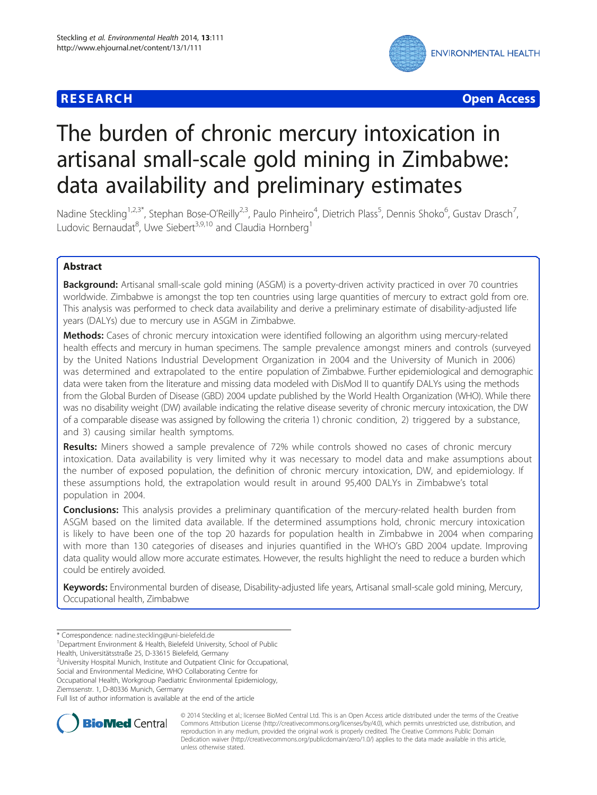



# The burden of chronic mercury intoxication in artisanal small-scale gold mining in Zimbabwe: data availability and preliminary estimates

Nadine Steckling<sup>1,2,3\*</sup>, Stephan Bose-O'Reilly<sup>2,3</sup>, Paulo Pinheiro<sup>4</sup>, Dietrich Plass<sup>5</sup>, Dennis Shoko<sup>6</sup>, Gustav Drasch<sup>7</sup> , Ludovic Bernaudat<sup>8</sup>, Uwe Siebert<sup>3,9,10</sup> and Claudia Hornberg<sup>1</sup>

# Abstract

Background: Artisanal small-scale gold mining (ASGM) is a poverty-driven activity practiced in over 70 countries worldwide. Zimbabwe is amongst the top ten countries using large quantities of mercury to extract gold from ore. This analysis was performed to check data availability and derive a preliminary estimate of disability-adjusted life years (DALYs) due to mercury use in ASGM in Zimbabwe.

**Methods:** Cases of chronic mercury intoxication were identified following an algorithm using mercury-related health effects and mercury in human specimens. The sample prevalence amongst miners and controls (surveyed by the United Nations Industrial Development Organization in 2004 and the University of Munich in 2006) was determined and extrapolated to the entire population of Zimbabwe. Further epidemiological and demographic data were taken from the literature and missing data modeled with DisMod II to quantify DALYs using the methods from the Global Burden of Disease (GBD) 2004 update published by the World Health Organization (WHO). While there was no disability weight (DW) available indicating the relative disease severity of chronic mercury intoxication, the DW of a comparable disease was assigned by following the criteria 1) chronic condition, 2) triggered by a substance, and 3) causing similar health symptoms.

Results: Miners showed a sample prevalence of 72% while controls showed no cases of chronic mercury intoxication. Data availability is very limited why it was necessary to model data and make assumptions about the number of exposed population, the definition of chronic mercury intoxication, DW, and epidemiology. If these assumptions hold, the extrapolation would result in around 95,400 DALYs in Zimbabwe's total population in 2004.

**Conclusions:** This analysis provides a preliminary quantification of the mercury-related health burden from ASGM based on the limited data available. If the determined assumptions hold, chronic mercury intoxication is likely to have been one of the top 20 hazards for population health in Zimbabwe in 2004 when comparing with more than 130 categories of diseases and injuries quantified in the WHO's GBD 2004 update. Improving data quality would allow more accurate estimates. However, the results highlight the need to reduce a burden which could be entirely avoided.

Keywords: Environmental burden of disease, Disability-adjusted life years, Artisanal small-scale gold mining, Mercury, Occupational health, Zimbabwe

<sup>2</sup>University Hospital Munich, Institute and Outpatient Clinic for Occupational, Social and Environmental Medicine, WHO Collaborating Centre for Occupational Health, Workgroup Paediatric Environmental Epidemiology,

Ziemssenstr. 1, D-80336 Munich, Germany

Full list of author information is available at the end of the article



© 2014 Steckling et al.; licensee BioMed Central Ltd. This is an Open Access article distributed under the terms of the Creative Commons Attribution License [\(http://creativecommons.org/licenses/by/4.0\)](http://creativecommons.org/licenses/by/4.0), which permits unrestricted use, distribution, and reproduction in any medium, provided the original work is properly credited. The Creative Commons Public Domain Dedication waiver [\(http://creativecommons.org/publicdomain/zero/1.0/](http://creativecommons.org/publicdomain/zero/1.0/)) applies to the data made available in this article, unless otherwise stated.

<sup>\*</sup> Correspondence: [nadine.steckling@uni-bielefeld.de](mailto:nadine.steckling@uni-bielefeld.de) <sup>1</sup>

<sup>&</sup>lt;sup>1</sup>Department Environment & Health, Bielefeld University, School of Public

Health, Universitätsstraße 25, D-33615 Bielefeld, Germany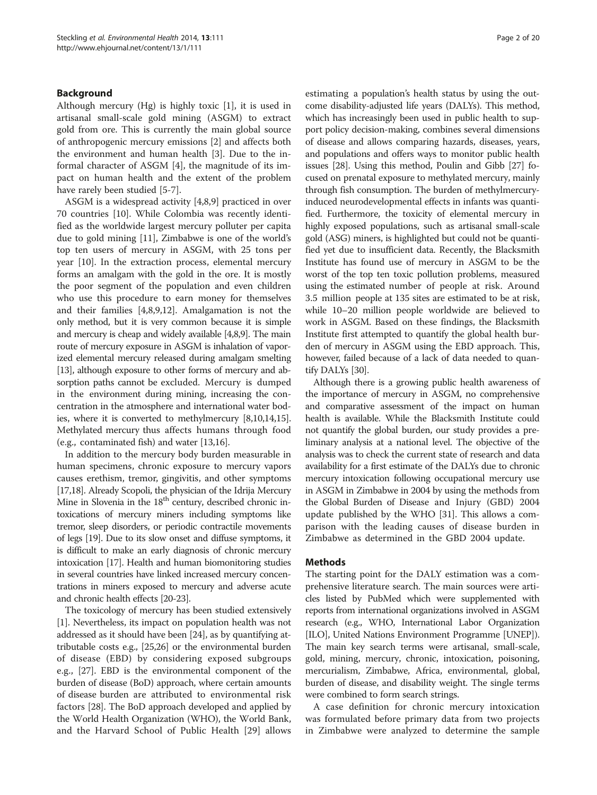## Background

Although mercury (Hg) is highly toxic [[1\]](#page-16-0), it is used in artisanal small-scale gold mining (ASGM) to extract gold from ore. This is currently the main global source of anthropogenic mercury emissions [\[2\]](#page-16-0) and affects both the environment and human health [\[3](#page-16-0)]. Due to the informal character of ASGM [[4\]](#page-16-0), the magnitude of its impact on human health and the extent of the problem have rarely been studied [\[5](#page-16-0)-[7\]](#page-16-0).

ASGM is a widespread activity [\[4](#page-16-0),[8](#page-16-0),[9\]](#page-17-0) practiced in over 70 countries [[10\]](#page-17-0). While Colombia was recently identified as the worldwide largest mercury polluter per capita due to gold mining [[11](#page-17-0)], Zimbabwe is one of the world's top ten users of mercury in ASGM, with 25 tons per year [[10\]](#page-17-0). In the extraction process, elemental mercury forms an amalgam with the gold in the ore. It is mostly the poor segment of the population and even children who use this procedure to earn money for themselves and their families [[4,8,](#page-16-0)[9,12\]](#page-17-0). Amalgamation is not the only method, but it is very common because it is simple and mercury is cheap and widely available [[4,8](#page-16-0)[,9\]](#page-17-0). The main route of mercury exposure in ASGM is inhalation of vaporized elemental mercury released during amalgam smelting [[13](#page-17-0)], although exposure to other forms of mercury and absorption paths cannot be excluded. Mercury is dumped in the environment during mining, increasing the concentration in the atmosphere and international water bodies, where it is converted to methylmercury [\[8](#page-16-0)[,10,14,15](#page-17-0)]. Methylated mercury thus affects humans through food (e.g., contaminated fish) and water [[13](#page-17-0),[16](#page-17-0)].

In addition to the mercury body burden measurable in human specimens, chronic exposure to mercury vapors causes erethism, tremor, gingivitis, and other symptoms [[17,18\]](#page-17-0). Already Scopoli, the physician of the Idrija Mercury Mine in Slovenia in the  $18<sup>th</sup>$  century, described chronic intoxications of mercury miners including symptoms like tremor, sleep disorders, or periodic contractile movements of legs [\[19\]](#page-17-0). Due to its slow onset and diffuse symptoms, it is difficult to make an early diagnosis of chronic mercury intoxication [\[17\]](#page-17-0). Health and human biomonitoring studies in several countries have linked increased mercury concentrations in miners exposed to mercury and adverse acute and chronic health effects [\[20-23](#page-17-0)].

The toxicology of mercury has been studied extensively [[1\]](#page-16-0). Nevertheless, its impact on population health was not addressed as it should have been [\[24\]](#page-17-0), as by quantifying attributable costs e.g., [\[25,26](#page-17-0)] or the environmental burden of disease (EBD) by considering exposed subgroups e.g., [\[27\]](#page-17-0). EBD is the environmental component of the burden of disease (BoD) approach, where certain amounts of disease burden are attributed to environmental risk factors [[28](#page-17-0)]. The BoD approach developed and applied by the World Health Organization (WHO), the World Bank, and the Harvard School of Public Health [[29\]](#page-17-0) allows

estimating a population's health status by using the outcome disability-adjusted life years (DALYs). This method, which has increasingly been used in public health to support policy decision-making, combines several dimensions of disease and allows comparing hazards, diseases, years, and populations and offers ways to monitor public health issues [[28](#page-17-0)]. Using this method, Poulin and Gibb [[27](#page-17-0)] focused on prenatal exposure to methylated mercury, mainly through fish consumption. The burden of methylmercuryinduced neurodevelopmental effects in infants was quantified. Furthermore, the toxicity of elemental mercury in highly exposed populations, such as artisanal small-scale gold (ASG) miners, is highlighted but could not be quantified yet due to insufficient data. Recently, the Blacksmith Institute has found use of mercury in ASGM to be the worst of the top ten toxic pollution problems, measured using the estimated number of people at risk. Around 3.5 million people at 135 sites are estimated to be at risk, while 10–20 million people worldwide are believed to work in ASGM. Based on these findings, the Blacksmith Institute first attempted to quantify the global health burden of mercury in ASGM using the EBD approach. This, however, failed because of a lack of data needed to quantify DALYs [\[30](#page-17-0)].

Although there is a growing public health awareness of the importance of mercury in ASGM, no comprehensive and comparative assessment of the impact on human health is available. While the Blacksmith Institute could not quantify the global burden, our study provides a preliminary analysis at a national level. The objective of the analysis was to check the current state of research and data availability for a first estimate of the DALYs due to chronic mercury intoxication following occupational mercury use in ASGM in Zimbabwe in 2004 by using the methods from the Global Burden of Disease and Injury (GBD) 2004 update published by the WHO [\[31\]](#page-17-0). This allows a comparison with the leading causes of disease burden in Zimbabwe as determined in the GBD 2004 update.

## Methods

The starting point for the DALY estimation was a comprehensive literature search. The main sources were articles listed by PubMed which were supplemented with reports from international organizations involved in ASGM research (e.g., WHO, International Labor Organization [ILO], United Nations Environment Programme [UNEP]). The main key search terms were artisanal, small-scale, gold, mining, mercury, chronic, intoxication, poisoning, mercurialism, Zimbabwe, Africa, environmental, global, burden of disease, and disability weight. The single terms were combined to form search strings.

A case definition for chronic mercury intoxication was formulated before primary data from two projects in Zimbabwe were analyzed to determine the sample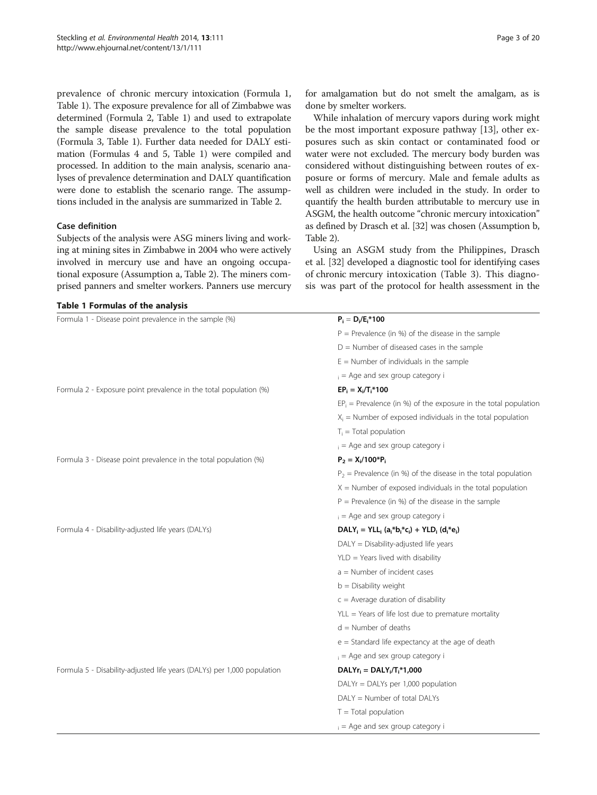<span id="page-2-0"></span>prevalence of chronic mercury intoxication (Formula 1, Table 1). The exposure prevalence for all of Zimbabwe was determined (Formula 2, Table 1) and used to extrapolate the sample disease prevalence to the total population (Formula 3, Table 1). Further data needed for DALY estimation (Formulas 4 and 5, Table 1) were compiled and processed. In addition to the main analysis, scenario analyses of prevalence determination and DALY quantification were done to establish the scenario range. The assumptions included in the analysis are summarized in Table [2](#page-3-0).

#### Case definition

Subjects of the analysis were ASG miners living and working at mining sites in Zimbabwe in 2004 who were actively involved in mercury use and have an ongoing occupational exposure (Assumption a, Table [2](#page-3-0)). The miners comprised panners and smelter workers. Panners use mercury

#### Table 1 Formulas of the analysis

for amalgamation but do not smelt the amalgam, as is done by smelter workers.

While inhalation of mercury vapors during work might be the most important exposure pathway [\[13](#page-17-0)], other exposures such as skin contact or contaminated food or water were not excluded. The mercury body burden was considered without distinguishing between routes of exposure or forms of mercury. Male and female adults as well as children were included in the study. In order to quantify the health burden attributable to mercury use in ASGM, the health outcome "chronic mercury intoxication" as defined by Drasch et al. [\[32\]](#page-17-0) was chosen (Assumption b, Table [2\)](#page-3-0).

Using an ASGM study from the Philippines, Drasch et al. [[32](#page-17-0)] developed a diagnostic tool for identifying cases of chronic mercury intoxication (Table [3\)](#page-4-0). This diagnosis was part of the protocol for health assessment in the

| Formula 1 - Disease point prevalence in the sample (%)                  | $P_i = D_i/E_i * 100$                                              |
|-------------------------------------------------------------------------|--------------------------------------------------------------------|
|                                                                         | $P =$ Prevalence (in %) of the disease in the sample               |
|                                                                         | $D =$ Number of diseased cases in the sample                       |
|                                                                         | $E =$ Number of individuals in the sample                          |
|                                                                         | $i = Age$ and sex group category i                                 |
| Formula 2 - Exposure point prevalence in the total population (%)       | $EP_i = X_i/T_i^*100$                                              |
|                                                                         | $EP_i$ = Prevalence (in %) of the exposure in the total population |
|                                                                         | $X_i$ = Number of exposed individuals in the total population      |
|                                                                         | $T_i$ = Total population                                           |
|                                                                         | $i =$ Age and sex group category i                                 |
| Formula 3 - Disease point prevalence in the total population (%)        | $P_2 = X_i/100*P_i$                                                |
|                                                                         | $P_2$ = Prevalence (in %) of the disease in the total population   |
|                                                                         | $X =$ Number of exposed individuals in the total population        |
|                                                                         | $P =$ Prevalence (in %) of the disease in the sample               |
|                                                                         | $i = Age$ and sex group category i                                 |
| Formula 4 - Disability-adjusted life years (DALYs)                      | $DALY_i = YLL_i (a_i * b_i * c_i) + YLD_i (d_i * e_i)$             |
|                                                                         | $DALY = Disability-adjusted$ life years                            |
|                                                                         | $YLD = Years$ lived with disability                                |
|                                                                         | $a =$ Number of incident cases                                     |
|                                                                         | $b =$ Disability weight                                            |
|                                                                         | $c =$ Average duration of disability                               |
|                                                                         | $YLL = Years$ of life lost due to premature mortality              |
|                                                                         | $d =$ Number of deaths                                             |
|                                                                         | $e =$ Standard life expectancy at the age of death                 |
|                                                                         | $_{i}$ = Age and sex group category i                              |
| Formula 5 - Disability-adjusted life years (DALYs) per 1,000 population | $DALYr_i = DALY_i/T_i*1,000$                                       |
|                                                                         | $DALYr = DALYs$ per 1,000 population                               |
|                                                                         | DALY = Number of total DALYs                                       |
|                                                                         | $T = Total population$                                             |
|                                                                         | $i = Age$ and sex group category i                                 |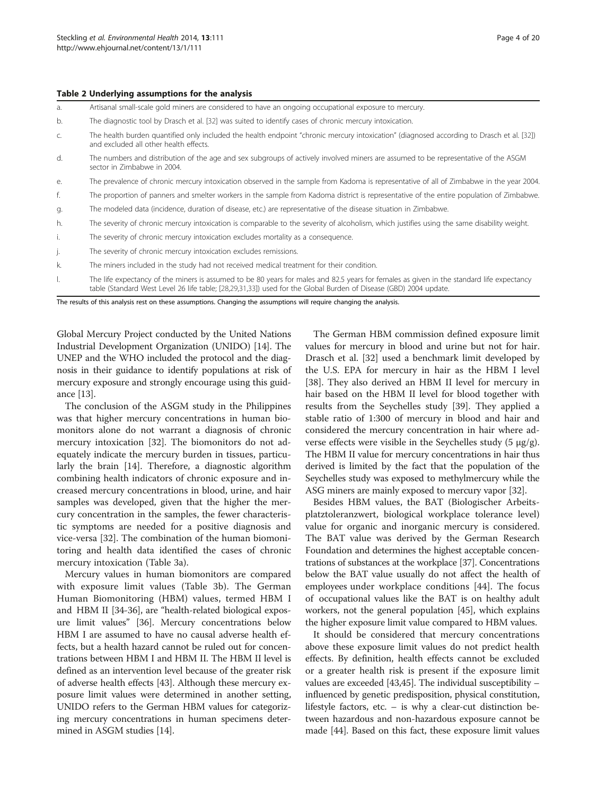#### <span id="page-3-0"></span>Table 2 Underlying assumptions for the analysis

| b. | The diagnostic tool by Drasch et al. [32] was suited to identify cases of chronic mercury intoxication.                                                                             |
|----|-------------------------------------------------------------------------------------------------------------------------------------------------------------------------------------|
| C. | The health burden quantified only included the health endpoint "chronic mercury intoxication" (diagnosed according to Drasch et al. [32])<br>and excluded all other health effects. |
| d. | The numbers and distribution of the age and sex subgroups of actively involved miners are assumed to be representative of the ASGM<br>sector in Zimbabwe in 2004.                   |
| е. | The prevalence of chronic mercury intoxication observed in the sample from Kadoma is representative of all of Zimbabwe in the year 2004                                             |
| f. | The proportion of panners and smelter workers in the sample from Kadoma district is representative of the entire population of Zimbabwe                                             |
| g. | The modeled data (incidence, duration of disease, etc.) are representative of the disease situation in Zimbabwe.                                                                    |
| h. | The severity of chronic mercury intoxication is comparable to the severity of alcoholism, which justifies using the same disability weight.                                         |
|    | The severity of chronic mercury intoxication excludes mortality as a consequence.                                                                                                   |
|    | The severity of chronic mercury intoxication excludes remissions.                                                                                                                   |

- k. The miners included in the study had not received medical treatment for their condition.
- l. The life expectancy of the miners is assumed to be 80 years for males and 82.5 years for females as given in the standard life expectancy table (Standard West Level 26 life table; [[28](#page-17-0),[29](#page-17-0),[31](#page-17-0),[33](#page-17-0)]) used for the Global Burden of Disease (GBD) 2004 update.

The results of this analysis rest on these assumptions. Changing the assumptions will require changing the analysis.

a. Artisanal small-scale gold miners are considered to have an ongoing occupational exposure to mercury.

Global Mercury Project conducted by the United Nations Industrial Development Organization (UNIDO) [\[14](#page-17-0)]. The UNEP and the WHO included the protocol and the diagnosis in their guidance to identify populations at risk of mercury exposure and strongly encourage using this guidance [[13](#page-17-0)].

The conclusion of the ASGM study in the Philippines was that higher mercury concentrations in human biomonitors alone do not warrant a diagnosis of chronic mercury intoxication [\[32\]](#page-17-0). The biomonitors do not adequately indicate the mercury burden in tissues, particularly the brain [[14\]](#page-17-0). Therefore, a diagnostic algorithm combining health indicators of chronic exposure and increased mercury concentrations in blood, urine, and hair samples was developed, given that the higher the mercury concentration in the samples, the fewer characteristic symptoms are needed for a positive diagnosis and vice-versa [[32\]](#page-17-0). The combination of the human biomonitoring and health data identified the cases of chronic mercury intoxication (Table [3a](#page-4-0)).

Mercury values in human biomonitors are compared with exposure limit values (Table [3b](#page-4-0)). The German Human Biomonitoring (HBM) values, termed HBM I and HBM II [\[34-36](#page-17-0)], are "health-related biological exposure limit values" [\[36\]](#page-17-0). Mercury concentrations below HBM I are assumed to have no causal adverse health effects, but a health hazard cannot be ruled out for concentrations between HBM I and HBM II. The HBM II level is defined as an intervention level because of the greater risk of adverse health effects [\[43](#page-17-0)]. Although these mercury exposure limit values were determined in another setting, UNIDO refers to the German HBM values for categorizing mercury concentrations in human specimens determined in ASGM studies [\[14\]](#page-17-0).

The German HBM commission defined exposure limit values for mercury in blood and urine but not for hair. Drasch et al. [[32](#page-17-0)] used a benchmark limit developed by the U.S. EPA for mercury in hair as the HBM I level [[38\]](#page-17-0). They also derived an HBM II level for mercury in hair based on the HBM II level for blood together with results from the Seychelles study [[39](#page-17-0)]. They applied a stable ratio of 1:300 of mercury in blood and hair and considered the mercury concentration in hair where adverse effects were visible in the Seychelles study  $(5 \mu g/g)$ . The HBM II value for mercury concentrations in hair thus derived is limited by the fact that the population of the Seychelles study was exposed to methylmercury while the ASG miners are mainly exposed to mercury vapor [[32\]](#page-17-0).

Besides HBM values, the BAT (Biologischer Arbeitsplatztoleranzwert, biological workplace tolerance level) value for organic and inorganic mercury is considered. The BAT value was derived by the German Research Foundation and determines the highest acceptable concentrations of substances at the workplace [\[37\]](#page-17-0). Concentrations below the BAT value usually do not affect the health of employees under workplace conditions [\[44](#page-17-0)]. The focus of occupational values like the BAT is on healthy adult workers, not the general population [\[45](#page-17-0)], which explains the higher exposure limit value compared to HBM values.

It should be considered that mercury concentrations above these exposure limit values do not predict health effects. By definition, health effects cannot be excluded or a greater health risk is present if the exposure limit values are exceeded [[43,45](#page-17-0)]. The individual susceptibility – influenced by genetic predisposition, physical constitution, lifestyle factors, etc. – is why a clear-cut distinction between hazardous and non-hazardous exposure cannot be made [[44\]](#page-17-0). Based on this fact, these exposure limit values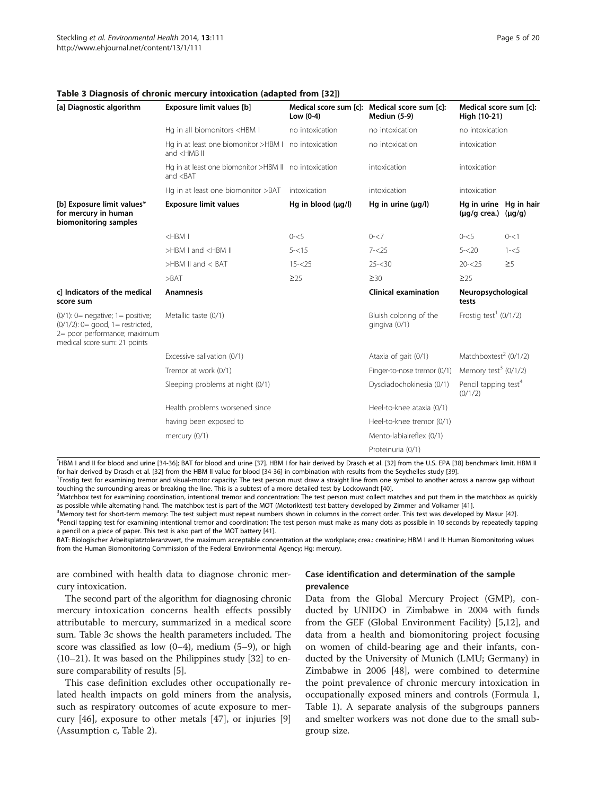| [a] Diagnostic algorithm                                                                                                                   | Exposure limit values [b]                                                                                                                          | Low $(0-4)$             | Medical score sum [c]: Medical score sum [c]:<br>Mediun (5-9) | Medical score sum [c]:<br>High (10-21)                     |          |  |
|--------------------------------------------------------------------------------------------------------------------------------------------|----------------------------------------------------------------------------------------------------------------------------------------------------|-------------------------|---------------------------------------------------------------|------------------------------------------------------------|----------|--|
|                                                                                                                                            | Hq in all biomonitors <hbm i<="" td=""><td>no intoxication</td><td>no intoxication</td><td>no intoxication</td><td></td></hbm>                     | no intoxication         | no intoxication                                               | no intoxication                                            |          |  |
|                                                                                                                                            | Hq in at least one biomonitor >HBM I no intoxication<br>and $<$ HMB II                                                                             |                         | no intoxication                                               | intoxication                                               |          |  |
|                                                                                                                                            | Hg in at least one biomonitor >HBM II no intoxication<br>and $<$ BAT                                                                               |                         | intoxication                                                  | intoxication                                               |          |  |
|                                                                                                                                            | Hq in at least one biomonitor >BAT                                                                                                                 | intoxication            | intoxication                                                  | intoxication                                               |          |  |
| [b] Exposure limit values*<br>for mercury in human<br>biomonitoring samples                                                                | <b>Exposure limit values</b>                                                                                                                       | Hg in blood $(\mu q/l)$ | Hg in urine $(\mu q/l)$                                       | Hg in urine Hg in hair<br>$(\mu q/q \c{$ rea.) $(\mu q/q)$ |          |  |
|                                                                                                                                            | <hbm i<="" td=""><td><math>0 - 5</math></td><td><math>0 - 7</math></td><td><math>0 - 5</math></td><td><math>0 - 1</math></td></hbm>                | $0 - 5$                 | $0 - 7$                                                       | $0 - 5$                                                    | $0 - 1$  |  |
|                                                                                                                                            | >HBM I and <hbm ii<="" td=""><td><math>5 - 15</math></td><td><math>7 - 25</math></td><td><math>5 - 20</math></td><td><math>1 - 5</math></td></hbm> | $5 - 15$                | $7 - 25$                                                      | $5 - 20$                                                   | $1 - 5$  |  |
|                                                                                                                                            | $>$ HBM II and $<$ BAT                                                                                                                             | $15 - 25$               | $25 - 30$                                                     | $20 - 25$                                                  | $\geq$ 5 |  |
|                                                                                                                                            | >BAT                                                                                                                                               | $\geq$ 25               | $\geq 30$                                                     | $\geq$ 25                                                  |          |  |
| c] Indicators of the medical<br>score sum                                                                                                  | <b>Anamnesis</b>                                                                                                                                   |                         | <b>Clinical examination</b>                                   | Neuropsychological<br>tests                                |          |  |
| $(0/1)$ : 0= negative; 1= positive;<br>$(0/1/2)$ : 0= good, 1= restricted,<br>2= poor performance; maximum<br>medical score sum: 21 points | Metallic taste (0/1)                                                                                                                               |                         | Bluish coloring of the<br>gingiva $(0/1)$                     | Frostig test <sup>1</sup> (0/1/2)                          |          |  |
|                                                                                                                                            | Excessive salivation (0/1)                                                                                                                         |                         | Ataxia of gait (0/1)                                          | Matchboxtest <sup>2</sup> (0/1/2)                          |          |  |
|                                                                                                                                            | Tremor at work (0/1)                                                                                                                               |                         | Finger-to-nose tremor (0/1)                                   | Memory test <sup>3</sup> (0/1/2)                           |          |  |
|                                                                                                                                            | Sleeping problems at night (0/1)                                                                                                                   |                         | Dysdiadochokinesia (0/1)                                      | Pencil tapping test <sup>4</sup><br>(0/1/2)                |          |  |
|                                                                                                                                            | Health problems worsened since                                                                                                                     |                         | Heel-to-knee ataxia (0/1)                                     |                                                            |          |  |
|                                                                                                                                            | having been exposed to                                                                                                                             |                         | Heel-to-knee tremor (0/1)                                     |                                                            |          |  |
|                                                                                                                                            | mercury $(0/1)$                                                                                                                                    |                         | Mento-labialreflex (0/1)                                      |                                                            |          |  |
|                                                                                                                                            |                                                                                                                                                    |                         | Proteinuria (0/1)                                             |                                                            |          |  |

#### <span id="page-4-0"></span>Table 3 Diagnosis of chronic mercury intoxication (adapted from [[32\]](#page-17-0))

\* HBM I and II for blood and urine [[34-36](#page-17-0)]; BAT for blood and urine [\[37](#page-17-0)]. HBM I for hair derived by Drasch et al. [[32](#page-17-0)] from the U.S. EPA [\[38](#page-17-0)] benchmark limit. HBM II for hair derived by Drasch et al. [\[32](#page-17-0)] from the HBM II value for blood [[34-36](#page-17-0)] in combination with results from the Seychelles study [\[39](#page-17-0)]. <sup>1</sup>

<sup>1</sup>Frostig test for examining tremor and visual-motor capacity: The test person must draw a straight line from one symbol to another across a narrow gap without touching the surrounding areas or breaking the line. This is a subtest of a more detailed test by Lockowandt [[40](#page-17-0)]. <sup>2</sup>

<sup>2</sup>Matchbox test for examining coordination, intentional tremor and concentration: The test person must collect matches and put them in the matchbox as quickly as possible while alternating hand. The matchbox test is part of the MOT (Motoriktest) test battery developed by Zimmer and Volkamer [[41\]](#page-17-0).

<sup>3</sup>Memory test for short-term memory: The test subject must repeat numbers shown in columns in the correct order. This test was developed by Masur [\[42\]](#page-17-0).

<sup>4</sup>Pencil tapping test for examining intentional tremor and coordination: The test person must make as many dots as possible in 10 seconds by repeatedly tapping

a pencil on a piece of paper. This test is also part of the MOT battery [[41\]](#page-17-0).

BAT: Biologischer Arbeitsplatztoleranzwert, the maximum acceptable concentration at the workplace; crea.: creatinine; HBM I and II: Human Biomonitoring values from the Human Biomonitoring Commission of the Federal Environmental Agency; Hg: mercury.

are combined with health data to diagnose chronic mercury intoxication.

The second part of the algorithm for diagnosing chronic mercury intoxication concerns health effects possibly attributable to mercury, summarized in a medical score sum. Table 3c shows the health parameters included. The score was classified as low (0–4), medium (5–9), or high (10–21). It was based on the Philippines study [\[32\]](#page-17-0) to ensure comparability of results [[5\]](#page-16-0).

This case definition excludes other occupationally related health impacts on gold miners from the analysis, such as respiratory outcomes of acute exposure to mercury [[46\]](#page-17-0), exposure to other metals [\[47\]](#page-17-0), or injuries [\[9](#page-17-0)] (Assumption c, Table [2](#page-3-0)).

# Case identification and determination of the sample prevalence

Data from the Global Mercury Project (GMP), conducted by UNIDO in Zimbabwe in 2004 with funds from the GEF (Global Environment Facility) [\[5](#page-16-0),[12](#page-17-0)], and data from a health and biomonitoring project focusing on women of child-bearing age and their infants, conducted by the University of Munich (LMU; Germany) in Zimbabwe in 2006 [[48](#page-17-0)], were combined to determine the point prevalence of chronic mercury intoxication in occupationally exposed miners and controls (Formula 1, Table [1](#page-2-0)). A separate analysis of the subgroups panners and smelter workers was not done due to the small subgroup size.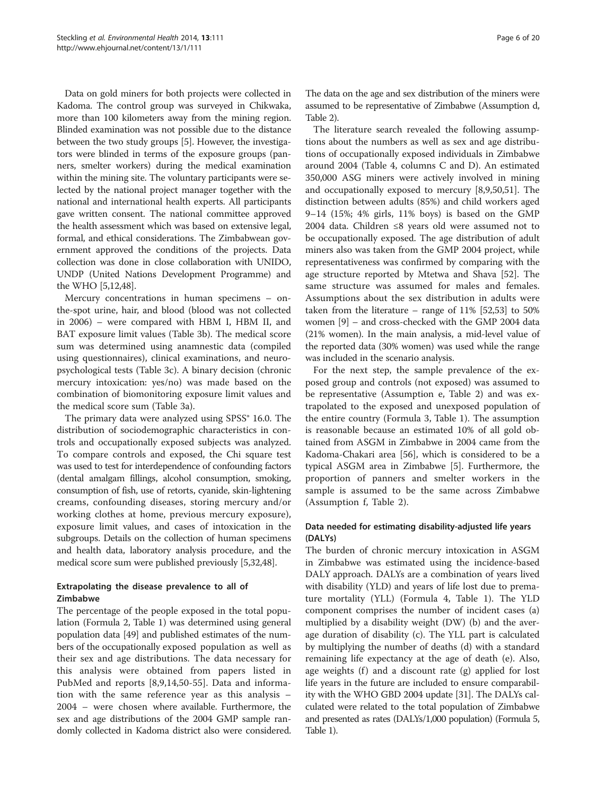Data on gold miners for both projects were collected in Kadoma. The control group was surveyed in Chikwaka, more than 100 kilometers away from the mining region. Blinded examination was not possible due to the distance between the two study groups [[5](#page-16-0)]. However, the investigators were blinded in terms of the exposure groups (panners, smelter workers) during the medical examination within the mining site. The voluntary participants were selected by the national project manager together with the national and international health experts. All participants gave written consent. The national committee approved the health assessment which was based on extensive legal, formal, and ethical considerations. The Zimbabwean government approved the conditions of the projects. Data collection was done in close collaboration with UNIDO, UNDP (United Nations Development Programme) and the WHO [[5](#page-16-0)[,12,48\]](#page-17-0).

Mercury concentrations in human specimens – onthe-spot urine, hair, and blood (blood was not collected in 2006) – were compared with HBM I, HBM II, and BAT exposure limit values (Table [3b](#page-4-0)). The medical score sum was determined using anamnestic data (compiled using questionnaires), clinical examinations, and neuropsychological tests (Table [3c](#page-4-0)). A binary decision (chronic mercury intoxication: yes/no) was made based on the combination of biomonitoring exposure limit values and the medical score sum (Table [3a](#page-4-0)).

The primary data were analyzed using SPSS<sup>®</sup> 16.0. The distribution of sociodemographic characteristics in controls and occupationally exposed subjects was analyzed. To compare controls and exposed, the Chi square test was used to test for interdependence of confounding factors (dental amalgam fillings, alcohol consumption, smoking, consumption of fish, use of retorts, cyanide, skin-lightening creams, confounding diseases, storing mercury and/or working clothes at home, previous mercury exposure), exposure limit values, and cases of intoxication in the subgroups. Details on the collection of human specimens and health data, laboratory analysis procedure, and the medical score sum were published previously [\[5,](#page-16-0)[32](#page-17-0),[48](#page-17-0)].

# Extrapolating the disease prevalence to all of Zimbabwe

The percentage of the people exposed in the total population (Formula 2, Table [1\)](#page-2-0) was determined using general population data [\[49\]](#page-17-0) and published estimates of the numbers of the occupationally exposed population as well as their sex and age distributions. The data necessary for this analysis were obtained from papers listed in PubMed and reports [[8,](#page-16-0)[9,14](#page-17-0),[50-](#page-17-0)[55](#page-18-0)]. Data and information with the same reference year as this analysis – 2004 – were chosen where available. Furthermore, the sex and age distributions of the 2004 GMP sample randomly collected in Kadoma district also were considered. The data on the age and sex distribution of the miners were assumed to be representative of Zimbabwe (Assumption d, Table [2](#page-3-0)).

The literature search revealed the following assumptions about the numbers as well as sex and age distributions of occupationally exposed individuals in Zimbabwe around 2004 (Table [4](#page-6-0), columns C and D). An estimated 350,000 ASG miners were actively involved in mining and occupationally exposed to mercury [\[8](#page-16-0)[,9,50,51](#page-17-0)]. The distinction between adults (85%) and child workers aged 9–14 (15%; 4% girls, 11% boys) is based on the GMP 2004 data. Children ≤8 years old were assumed not to be occupationally exposed. The age distribution of adult miners also was taken from the GMP 2004 project, while representativeness was confirmed by comparing with the age structure reported by Mtetwa and Shava [[52\]](#page-18-0). The same structure was assumed for males and females. Assumptions about the sex distribution in adults were taken from the literature – range of 11% [[52,53](#page-18-0)] to 50% women [\[9](#page-17-0)] – and cross-checked with the GMP 2004 data (21% women). In the main analysis, a mid-level value of the reported data (30% women) was used while the range was included in the scenario analysis.

For the next step, the sample prevalence of the exposed group and controls (not exposed) was assumed to be representative (Assumption e, Table [2](#page-3-0)) and was extrapolated to the exposed and unexposed population of the entire country (Formula 3, Table [1\)](#page-2-0). The assumption is reasonable because an estimated 10% of all gold obtained from ASGM in Zimbabwe in 2004 came from the Kadoma-Chakari area [\[56](#page-18-0)], which is considered to be a typical ASGM area in Zimbabwe [[5](#page-16-0)]. Furthermore, the proportion of panners and smelter workers in the sample is assumed to be the same across Zimbabwe (Assumption f, Table [2](#page-3-0)).

# Data needed for estimating disability-adjusted life years (DALYs)

The burden of chronic mercury intoxication in ASGM in Zimbabwe was estimated using the incidence-based DALY approach. DALYs are a combination of years lived with disability (YLD) and years of life lost due to premature mortality (YLL) (Formula 4, Table [1](#page-2-0)). The YLD component comprises the number of incident cases (a) multiplied by a disability weight (DW) (b) and the average duration of disability (c). The YLL part is calculated by multiplying the number of deaths (d) with a standard remaining life expectancy at the age of death (e). Also, age weights  $(f)$  and a discount rate  $(g)$  applied for lost life years in the future are included to ensure comparability with the WHO GBD 2004 update [[31](#page-17-0)]. The DALYs calculated were related to the total population of Zimbabwe and presented as rates (DALYs/1,000 population) (Formula 5, Table [1](#page-2-0)).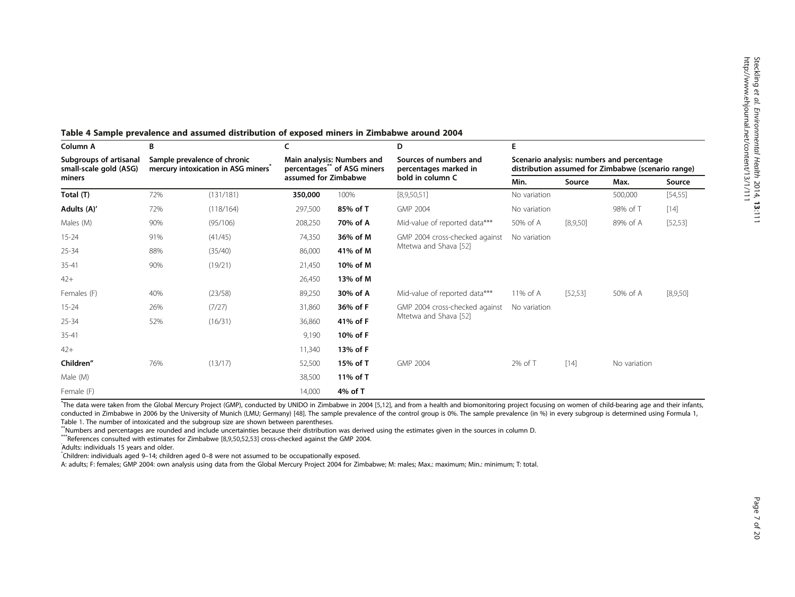| Column A                                         | B   |                                                                                 | c                                                                                 |          | D                                               | E                                                                                               |          |              |          |  |
|--------------------------------------------------|-----|---------------------------------------------------------------------------------|-----------------------------------------------------------------------------------|----------|-------------------------------------------------|-------------------------------------------------------------------------------------------------|----------|--------------|----------|--|
| Subgroups of artisanal<br>small-scale gold (ASG) |     | Sample prevalence of chronic<br>mercury intoxication in ASG miners <sup>®</sup> | Main analysis: Numbers and<br>percentages** of ASG miners<br>assumed for Zimbabwe |          | Sources of numbers and<br>percentages marked in | Scenario analysis: numbers and percentage<br>distribution assumed for Zimbabwe (scenario range) |          |              |          |  |
| miners                                           |     |                                                                                 |                                                                                   |          | bold in column C                                | Min.                                                                                            | Source   | Max.         | Source   |  |
| Total (T)                                        | 72% | (131/181)                                                                       | 350,000                                                                           | 100%     | [8,9,50,51]                                     | No variation                                                                                    |          | 500,000      | [54, 55] |  |
| Adults (A)'                                      | 72% | (118/164)                                                                       | 297,500                                                                           | 85% of T | <b>GMP 2004</b>                                 | No variation                                                                                    |          | 98% of T     | $[14]$   |  |
| Males (M)                                        | 90% | (95/106)                                                                        | 208,250                                                                           | 70% of A | Mid-value of reported data***                   | 50% of A                                                                                        | [8,9,50] | 89% of A     | [52, 53] |  |
| $15 - 24$                                        | 91% | (41/45)                                                                         | 74,350                                                                            | 36% of M | GMP 2004 cross-checked against                  | No variation                                                                                    |          |              |          |  |
| $25 - 34$                                        | 88% | (35/40)                                                                         | 86,000                                                                            | 41% of M | Mtetwa and Shava [52]                           |                                                                                                 |          |              |          |  |
| 35-41                                            | 90% | (19/21)                                                                         | 21,450                                                                            | 10% of M |                                                 |                                                                                                 |          |              |          |  |
| $42+$                                            |     |                                                                                 | 26,450                                                                            | 13% of M |                                                 |                                                                                                 |          |              |          |  |
| Females (F)                                      | 40% | (23/58)                                                                         | 89,250                                                                            | 30% of A | Mid-value of reported data***                   | 11% of A                                                                                        | [52, 53] | 50% of A     | [8,9,50] |  |
| $15 - 24$                                        | 26% | (7/27)                                                                          | 31,860                                                                            | 36% of F | GMP 2004 cross-checked against                  | No variation                                                                                    |          |              |          |  |
| 25-34                                            | 52% | (16/31)                                                                         | 36,860                                                                            | 41% of F | Mtetwa and Shava [52]                           |                                                                                                 |          |              |          |  |
| 35-41                                            |     |                                                                                 | 9,190                                                                             | 10% of F |                                                 |                                                                                                 |          |              |          |  |
| $42+$                                            |     |                                                                                 | 11,340                                                                            | 13% of F |                                                 |                                                                                                 |          |              |          |  |
| Children"                                        | 76% | (13/17)                                                                         | 52,500                                                                            | 15% of T | <b>GMP 2004</b>                                 | 2% of T                                                                                         | $[14]$   | No variation |          |  |
| Male (M)                                         |     |                                                                                 | 38,500                                                                            | 11% of T |                                                 |                                                                                                 |          |              |          |  |
| Female (F)                                       |     |                                                                                 | 14,000                                                                            | 4% of T  |                                                 |                                                                                                 |          |              |          |  |

<span id="page-6-0"></span>Table 4 Sample prevalence and assumed distribution of exposed miners in Zimbabwe around 2004

\* The data were taken from the Global Mercury Project (GMP), conducted by UNIDO in Zimbabwe in 2004 [\[5](#page-16-0)[,12](#page-17-0)], and from a health and biomonitoring project focusing on women of child-bearing age and their infants, conducted in Zimbabwe in 2006 by the University of Munich (LMU; Germany) [\[48](#page-17-0)]. The sample prevalence of the control group is 0%. The sample prevalence (in %) in every subgroup is determined using Formula 1, Table [1](#page-2-0). The number of intoxicated and the subgroup size are shown between parentheses.<br>"Numbers and percentages are rounded and include uncertainties because their distribution was derived using the estimates given in the

Adults: individuals 15 years and older.

" Children: individuals aged 9–14; children aged 0–8 were not assumed to be occupationally exposed.

A: adults; F: females; GMP 2004: own analysis using data from the Global Mercury Project 2004 for Zimbabwe; M: males; Max.: maximum; Min.: minimum; T: total.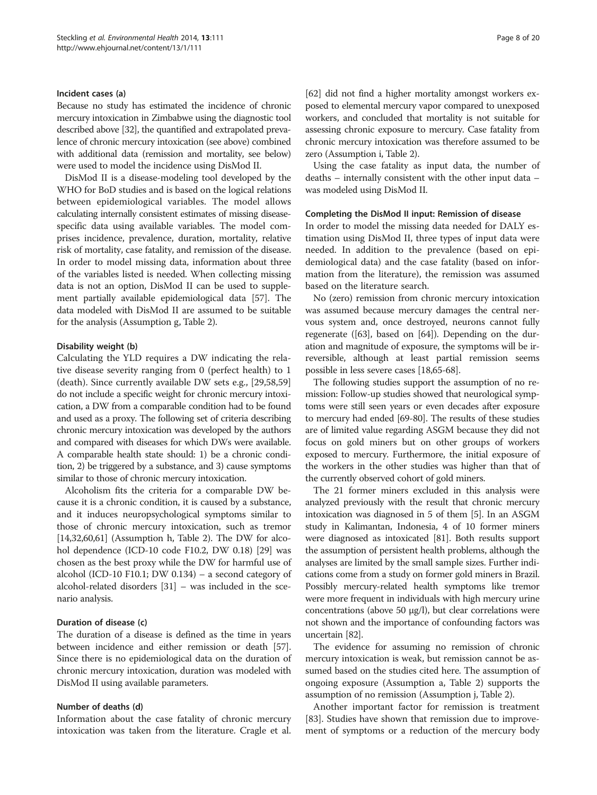#### Incident cases (a)

Because no study has estimated the incidence of chronic mercury intoxication in Zimbabwe using the diagnostic tool described above [\[32\]](#page-17-0), the quantified and extrapolated prevalence of chronic mercury intoxication (see above) combined with additional data (remission and mortality, see below) were used to model the incidence using DisMod II.

DisMod II is a disease-modeling tool developed by the WHO for BoD studies and is based on the logical relations between epidemiological variables. The model allows calculating internally consistent estimates of missing diseasespecific data using available variables. The model comprises incidence, prevalence, duration, mortality, relative risk of mortality, case fatality, and remission of the disease. In order to model missing data, information about three of the variables listed is needed. When collecting missing data is not an option, DisMod II can be used to supplement partially available epidemiological data [\[57\]](#page-18-0). The data modeled with DisMod II are assumed to be suitable for the analysis (Assumption g, Table [2\)](#page-3-0).

#### Disability weight (b)

Calculating the YLD requires a DW indicating the relative disease severity ranging from 0 (perfect health) to 1 (death). Since currently available DW sets e.g., [[29](#page-17-0),[58](#page-18-0),[59](#page-18-0)] do not include a specific weight for chronic mercury intoxication, a DW from a comparable condition had to be found and used as a proxy. The following set of criteria describing chronic mercury intoxication was developed by the authors and compared with diseases for which DWs were available. A comparable health state should: 1) be a chronic condition, 2) be triggered by a substance, and 3) cause symptoms similar to those of chronic mercury intoxication.

Alcoholism fits the criteria for a comparable DW because it is a chronic condition, it is caused by a substance, and it induces neuropsychological symptoms similar to those of chronic mercury intoxication, such as tremor [[14,32](#page-17-0)[,60,61](#page-18-0)] (Assumption h, Table [2](#page-3-0)). The DW for alcohol dependence (ICD-10 code F10.2, DW 0.18) [\[29\]](#page-17-0) was chosen as the best proxy while the DW for harmful use of alcohol (ICD-10 F10.1; DW 0.134) – a second category of alcohol-related disorders [[31](#page-17-0)] – was included in the scenario analysis.

#### Duration of disease (c)

The duration of a disease is defined as the time in years between incidence and either remission or death [[57](#page-18-0)]. Since there is no epidemiological data on the duration of chronic mercury intoxication, duration was modeled with DisMod II using available parameters.

#### Number of deaths (d)

Information about the case fatality of chronic mercury intoxication was taken from the literature. Cragle et al.

[[62\]](#page-18-0) did not find a higher mortality amongst workers exposed to elemental mercury vapor compared to unexposed workers, and concluded that mortality is not suitable for assessing chronic exposure to mercury. Case fatality from chronic mercury intoxication was therefore assumed to be zero (Assumption i, Table [2\)](#page-3-0).

Using the case fatality as input data, the number of deaths – internally consistent with the other input data – was modeled using DisMod II.

#### Completing the DisMod II input: Remission of disease

In order to model the missing data needed for DALY estimation using DisMod II, three types of input data were needed. In addition to the prevalence (based on epidemiological data) and the case fatality (based on information from the literature), the remission was assumed based on the literature search.

No (zero) remission from chronic mercury intoxication was assumed because mercury damages the central nervous system and, once destroyed, neurons cannot fully regenerate ([[63](#page-18-0)], based on [\[64\]](#page-18-0)). Depending on the duration and magnitude of exposure, the symptoms will be irreversible, although at least partial remission seems possible in less severe cases [\[18,](#page-17-0)[65](#page-18-0)-[68](#page-18-0)].

The following studies support the assumption of no remission: Follow-up studies showed that neurological symptoms were still seen years or even decades after exposure to mercury had ended [\[69-80\]](#page-18-0). The results of these studies are of limited value regarding ASGM because they did not focus on gold miners but on other groups of workers exposed to mercury. Furthermore, the initial exposure of the workers in the other studies was higher than that of the currently observed cohort of gold miners.

The 21 former miners excluded in this analysis were analyzed previously with the result that chronic mercury intoxication was diagnosed in 5 of them [[5\]](#page-16-0). In an ASGM study in Kalimantan, Indonesia, 4 of 10 former miners were diagnosed as intoxicated [\[81\]](#page-18-0). Both results support the assumption of persistent health problems, although the analyses are limited by the small sample sizes. Further indications come from a study on former gold miners in Brazil. Possibly mercury-related health symptoms like tremor were more frequent in individuals with high mercury urine concentrations (above 50 μg/l), but clear correlations were not shown and the importance of confounding factors was uncertain [\[82](#page-18-0)].

The evidence for assuming no remission of chronic mercury intoxication is weak, but remission cannot be assumed based on the studies cited here. The assumption of ongoing exposure (Assumption a, Table [2](#page-3-0)) supports the assumption of no remission (Assumption j, Table [2](#page-3-0)).

Another important factor for remission is treatment [[83\]](#page-18-0). Studies have shown that remission due to improvement of symptoms or a reduction of the mercury body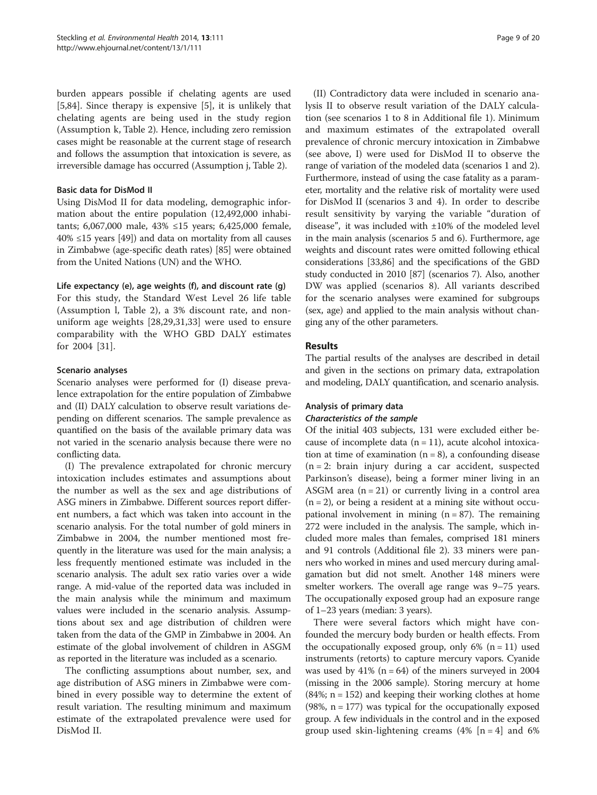burden appears possible if chelating agents are used [[5,](#page-16-0)[84\]](#page-18-0). Since therapy is expensive [[5\]](#page-16-0), it is unlikely that chelating agents are being used in the study region (Assumption k, Table [2](#page-3-0)). Hence, including zero remission cases might be reasonable at the current stage of research and follows the assumption that intoxication is severe, as irreversible damage has occurred (Assumption j, Table [2](#page-3-0)).

#### Basic data for DisMod II

Using DisMod II for data modeling, demographic information about the entire population (12,492,000 inhabitants; 6,067,000 male, 43% ≤15 years; 6,425,000 female, 40% ≤15 years [[49](#page-17-0)]) and data on mortality from all causes in Zimbabwe (age-specific death rates) [\[85\]](#page-18-0) were obtained from the United Nations (UN) and the WHO.

## Life expectancy (e), age weights (f), and discount rate (g)

For this study, the Standard West Level 26 life table (Assumption l, Table [2\)](#page-3-0), a 3% discount rate, and nonuniform age weights [[28,29,31,33](#page-17-0)] were used to ensure comparability with the WHO GBD DALY estimates for 2004 [[31\]](#page-17-0).

## Scenario analyses

Scenario analyses were performed for (I) disease prevalence extrapolation for the entire population of Zimbabwe and (II) DALY calculation to observe result variations depending on different scenarios. The sample prevalence as quantified on the basis of the available primary data was not varied in the scenario analysis because there were no conflicting data.

(I) The prevalence extrapolated for chronic mercury intoxication includes estimates and assumptions about the number as well as the sex and age distributions of ASG miners in Zimbabwe. Different sources report different numbers, a fact which was taken into account in the scenario analysis. For the total number of gold miners in Zimbabwe in 2004, the number mentioned most frequently in the literature was used for the main analysis; a less frequently mentioned estimate was included in the scenario analysis. The adult sex ratio varies over a wide range. A mid-value of the reported data was included in the main analysis while the minimum and maximum values were included in the scenario analysis. Assumptions about sex and age distribution of children were taken from the data of the GMP in Zimbabwe in 2004. An estimate of the global involvement of children in ASGM as reported in the literature was included as a scenario.

The conflicting assumptions about number, sex, and age distribution of ASG miners in Zimbabwe were combined in every possible way to determine the extent of result variation. The resulting minimum and maximum estimate of the extrapolated prevalence were used for DisMod II.

(II) Contradictory data were included in scenario analysis II to observe result variation of the DALY calculation (see scenarios 1 to 8 in Additional file [1\)](#page-16-0). Minimum and maximum estimates of the extrapolated overall prevalence of chronic mercury intoxication in Zimbabwe (see above, I) were used for DisMod II to observe the range of variation of the modeled data (scenarios 1 and 2). Furthermore, instead of using the case fatality as a parameter, mortality and the relative risk of mortality were used for DisMod II (scenarios 3 and 4). In order to describe result sensitivity by varying the variable "duration of disease", it was included with ±10% of the modeled level in the main analysis (scenarios 5 and 6). Furthermore, age weights and discount rates were omitted following ethical considerations [\[33](#page-17-0)[,86\]](#page-18-0) and the specifications of the GBD study conducted in 2010 [[87](#page-18-0)] (scenarios 7). Also, another DW was applied (scenarios 8). All variants described for the scenario analyses were examined for subgroups (sex, age) and applied to the main analysis without changing any of the other parameters.

# Results

The partial results of the analyses are described in detail and given in the sections on primary data, extrapolation and modeling, DALY quantification, and scenario analysis.

# Analysis of primary data

#### Characteristics of the sample

Of the initial 403 subjects, 131 were excluded either because of incomplete data  $(n = 11)$ , acute alcohol intoxication at time of examination  $(n = 8)$ , a confounding disease  $(n = 2: brain injury during a car accident, suspected)$ Parkinson's disease), being a former miner living in an ASGM area  $(n = 21)$  or currently living in a control area  $(n = 2)$ , or being a resident at a mining site without occupational involvement in mining  $(n = 87)$ . The remaining 272 were included in the analysis. The sample, which included more males than females, comprised 181 miners and 91 controls (Additional file [2](#page-16-0)). 33 miners were panners who worked in mines and used mercury during amalgamation but did not smelt. Another 148 miners were smelter workers. The overall age range was 9–75 years. The occupationally exposed group had an exposure range of 1–23 years (median: 3 years).

There were several factors which might have confounded the mercury body burden or health effects. From the occupationally exposed group, only  $6\%$  (n = 11) used instruments (retorts) to capture mercury vapors. Cyanide was used by 41% ( $n = 64$ ) of the miners surveyed in 2004 (missing in the 2006 sample). Storing mercury at home  $(84\%; n = 152)$  and keeping their working clothes at home  $(98\%, n = 177)$  was typical for the occupationally exposed group. A few individuals in the control and in the exposed group used skin-lightening creams  $(4\%$  [n = 4] and 6%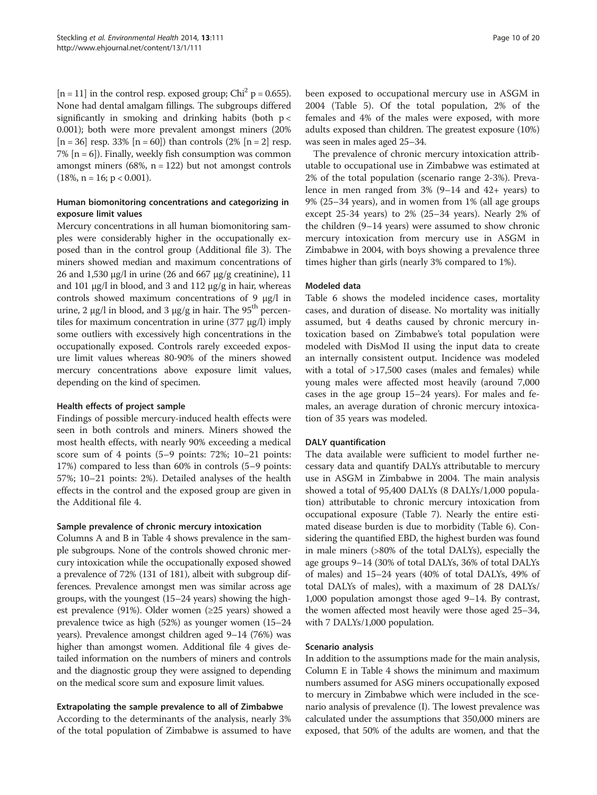$[n = 11]$  in the control resp. exposed group; Chi<sup>2</sup> p = 0.655). None had dental amalgam fillings. The subgroups differed significantly in smoking and drinking habits (both  $p <$ 0.001); both were more prevalent amongst miners (20%  $[n = 36]$  resp. 33%  $[n = 60]$  than controls  $(2\% | n = 2]$  resp. 7%  $[n = 6]$ ). Finally, weekly fish consumption was common amongst miners  $(68\%, n = 122)$  but not amongst controls  $(18\%, n = 16; p < 0.001)$ .

# Human biomonitoring concentrations and categorizing in exposure limit values

Mercury concentrations in all human biomonitoring samples were considerably higher in the occupationally exposed than in the control group (Additional file [3](#page-16-0)). The miners showed median and maximum concentrations of 26 and 1,530 μg/l in urine (26 and 667 μg/g creatinine), 11 and 101 μg/l in blood, and 3 and 112 μg/g in hair, whereas controls showed maximum concentrations of 9 μg/l in urine, 2 μg/l in blood, and 3 μg/g in hair. The 95<sup>th</sup> percentiles for maximum concentration in urine (377 μg/l) imply some outliers with excessively high concentrations in the occupationally exposed. Controls rarely exceeded exposure limit values whereas 80-90% of the miners showed mercury concentrations above exposure limit values, depending on the kind of specimen.

## Health effects of project sample

Findings of possible mercury-induced health effects were seen in both controls and miners. Miners showed the most health effects, with nearly 90% exceeding a medical score sum of 4 points (5–9 points: 72%; 10–21 points: 17%) compared to less than 60% in controls (5–9 points: 57%; 10–21 points: 2%). Detailed analyses of the health effects in the control and the exposed group are given in the Additional file [4.](#page-16-0)

#### Sample prevalence of chronic mercury intoxication

Columns A and B in Table [4](#page-6-0) shows prevalence in the sample subgroups. None of the controls showed chronic mercury intoxication while the occupationally exposed showed a prevalence of 72% (131 of 181), albeit with subgroup differences. Prevalence amongst men was similar across age groups, with the youngest (15–24 years) showing the highest prevalence (91%). Older women (≥25 years) showed a prevalence twice as high (52%) as younger women (15–24 years). Prevalence amongst children aged 9–14 (76%) was higher than amongst women. Additional file [4](#page-16-0) gives detailed information on the numbers of miners and controls and the diagnostic group they were assigned to depending on the medical score sum and exposure limit values.

# Extrapolating the sample prevalence to all of Zimbabwe

According to the determinants of the analysis, nearly 3% of the total population of Zimbabwe is assumed to have

been exposed to occupational mercury use in ASGM in 2004 (Table [5](#page-10-0)). Of the total population, 2% of the females and 4% of the males were exposed, with more adults exposed than children. The greatest exposure (10%) was seen in males aged 25–34.

The prevalence of chronic mercury intoxication attributable to occupational use in Zimbabwe was estimated at 2% of the total population (scenario range 2-3%). Prevalence in men ranged from 3% (9–14 and 42+ years) to 9% (25–34 years), and in women from 1% (all age groups except 25-34 years) to 2% (25–34 years). Nearly 2% of the children (9–14 years) were assumed to show chronic mercury intoxication from mercury use in ASGM in Zimbabwe in 2004, with boys showing a prevalence three times higher than girls (nearly 3% compared to 1%).

## Modeled data

Table [6](#page-11-0) shows the modeled incidence cases, mortality cases, and duration of disease. No mortality was initially assumed, but 4 deaths caused by chronic mercury intoxication based on Zimbabwe's total population were modeled with DisMod II using the input data to create an internally consistent output. Incidence was modeled with a total of  $>17,500$  cases (males and females) while young males were affected most heavily (around 7,000 cases in the age group 15–24 years). For males and females, an average duration of chronic mercury intoxication of 35 years was modeled.

#### DALY quantification

The data available were sufficient to model further necessary data and quantify DALYs attributable to mercury use in ASGM in Zimbabwe in 2004. The main analysis showed a total of 95,400 DALYs (8 DALYs/1,000 population) attributable to chronic mercury intoxication from occupational exposure (Table [7](#page-11-0)). Nearly the entire estimated disease burden is due to morbidity (Table [6\)](#page-11-0). Considering the quantified EBD, the highest burden was found in male miners (>80% of the total DALYs), especially the age groups 9–14 (30% of total DALYs, 36% of total DALYs of males) and 15–24 years (40% of total DALYs, 49% of total DALYs of males), with a maximum of 28 DALYs/ 1,000 population amongst those aged 9–14. By contrast, the women affected most heavily were those aged 25–34, with 7 DALYs/1,000 population.

# Scenario analysis

In addition to the assumptions made for the main analysis, Column E in Table [4](#page-6-0) shows the minimum and maximum numbers assumed for ASG miners occupationally exposed to mercury in Zimbabwe which were included in the scenario analysis of prevalence (I). The lowest prevalence was calculated under the assumptions that 350,000 miners are exposed, that 50% of the adults are women, and that the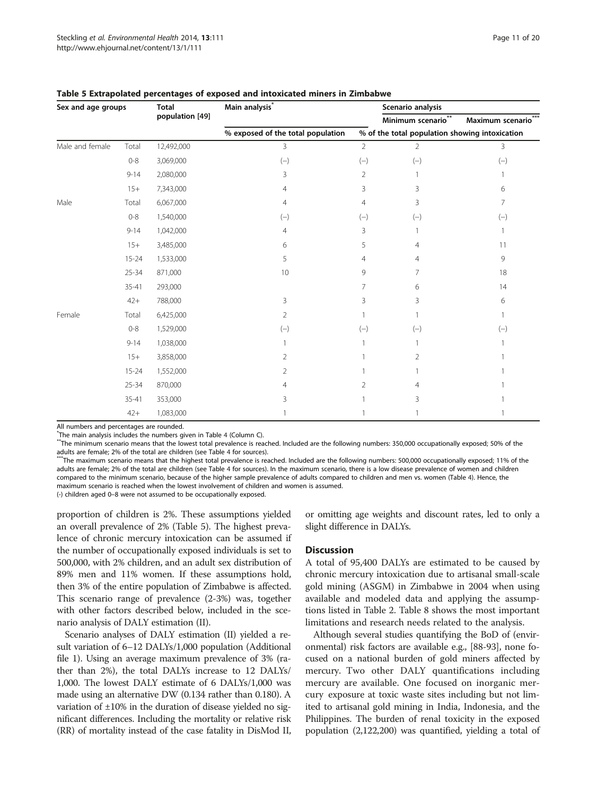| Sex and age groups |           | <b>Total</b>    | Main analysis*                    |       | Scenario analysis                              |                     |
|--------------------|-----------|-----------------|-----------------------------------|-------|------------------------------------------------|---------------------|
|                    |           | population [49] |                                   |       | Minimum scenario <sup>**</sup>                 | Maximum scenario*** |
|                    |           |                 | % exposed of the total population |       | % of the total population showing intoxication |                     |
| Male and female    | Total     | 12,492,000      | 3                                 | 2     | 2                                              | 3                   |
|                    | $0 - 8$   | 3,069,000       | $(-)$                             | $(-)$ | $(-)$                                          | $(-)$               |
|                    | $9 - 14$  | 2,080,000       | 3                                 | 2     |                                                |                     |
|                    | $15+$     | 7,343,000       | 4                                 | 3     | 3                                              | 6                   |
| Male               | Total     | 6,067,000       | 4                                 | 4     | 3                                              | 7                   |
|                    | $0 - 8$   | 1,540,000       | $(-)$                             | $(-)$ | $(-)$                                          | $(-)$               |
|                    | $9 - 14$  | 1,042,000       | 4                                 | 3     |                                                |                     |
|                    | $15+$     | 3,485,000       | 6                                 | 5     | $\overline{4}$                                 | 11                  |
|                    | $15 - 24$ | 1,533,000       | 5                                 | 4     | 4                                              | 9                   |
|                    | $25 - 34$ | 871,000         | 10                                | 9     | 7                                              | 18                  |
|                    | $35 - 41$ | 293,000         |                                   | 7     | 6                                              | 14                  |
|                    | $42+$     | 788,000         | 3                                 | 3     | 3                                              | 6                   |
| Female             | Total     | 6,425,000       | 2                                 |       |                                                |                     |
|                    | $0 - 8$   | 1,529,000       | $(-)$                             | $(-)$ | $(-)$                                          | $(-)$               |
|                    | $9 - 14$  | 1,038,000       |                                   |       |                                                |                     |
|                    | $15+$     | 3,858,000       | 2                                 |       | 2                                              |                     |
|                    | $15 - 24$ | 1,552,000       | 2                                 |       |                                                |                     |
|                    | $25 - 34$ | 870,000         | 4                                 | 2     | 4                                              |                     |
|                    | $35 - 41$ | 353,000         | 3                                 |       | 3                                              |                     |
|                    | $42+$     | 1,083,000       |                                   |       |                                                |                     |

<span id="page-10-0"></span>

| Table 5 Extrapolated percentages of exposed and intoxicated miners in Zimbabwe |  |  |  |  |  |
|--------------------------------------------------------------------------------|--|--|--|--|--|
|--------------------------------------------------------------------------------|--|--|--|--|--|

All numbers and percentages are rounded.

 $\check{}$ The main analysis includes the numbers given in Table 4 (Column C).

The minimum scenario means that the lowest total prevalence is reached. Included are the following numbers: 350,000 occupationally exposed; 50% of the adults are female; 2% of the total are children (see Table [4](#page-6-0) for source

"The maximum scenario means that the highest total prevalence is reached. Included are the following numbers: 500,000 occupationally exposed; 11% of the adults are female; 2% of the total are children (see Table [4](#page-6-0) for sources). In the maximum scenario, there is a low disease prevalence of women and children compared to the minimum scenario, because of the higher sample prevalence of adults compared to children and men vs. women (Table [4\)](#page-6-0). Hence, the maximum scenario is reached when the lowest involvement of children and women is assumed.

(-) children aged 0–8 were not assumed to be occupationally exposed.

proportion of children is 2%. These assumptions yielded an overall prevalence of 2% (Table 5). The highest prevalence of chronic mercury intoxication can be assumed if the number of occupationally exposed individuals is set to 500,000, with 2% children, and an adult sex distribution of 89% men and 11% women. If these assumptions hold, then 3% of the entire population of Zimbabwe is affected. This scenario range of prevalence (2-3%) was, together with other factors described below, included in the scenario analysis of DALY estimation (II).

Scenario analyses of DALY estimation (II) yielded a result variation of 6–12 DALYs/1,000 population (Additional file [1](#page-16-0)). Using an average maximum prevalence of 3% (rather than 2%), the total DALYs increase to 12 DALYs/ 1,000. The lowest DALY estimate of 6 DALYs/1,000 was made using an alternative DW (0.134 rather than 0.180). A variation of  $\pm 10\%$  in the duration of disease yielded no significant differences. Including the mortality or relative risk (RR) of mortality instead of the case fatality in DisMod II, or omitting age weights and discount rates, led to only a slight difference in DALYs.

#### **Discussion**

A total of 95,400 DALYs are estimated to be caused by chronic mercury intoxication due to artisanal small-scale gold mining (ASGM) in Zimbabwe in 2004 when using available and modeled data and applying the assumptions listed in Table [2](#page-3-0). Table [8](#page-12-0) shows the most important limitations and research needs related to the analysis.

Although several studies quantifying the BoD of (environmental) risk factors are available e.g., [\[88](#page-18-0)[-93](#page-19-0)], none focused on a national burden of gold miners affected by mercury. Two other DALY quantifications including mercury are available. One focused on inorganic mercury exposure at toxic waste sites including but not limited to artisanal gold mining in India, Indonesia, and the Philippines. The burden of renal toxicity in the exposed population (2,122,200) was quantified, yielding a total of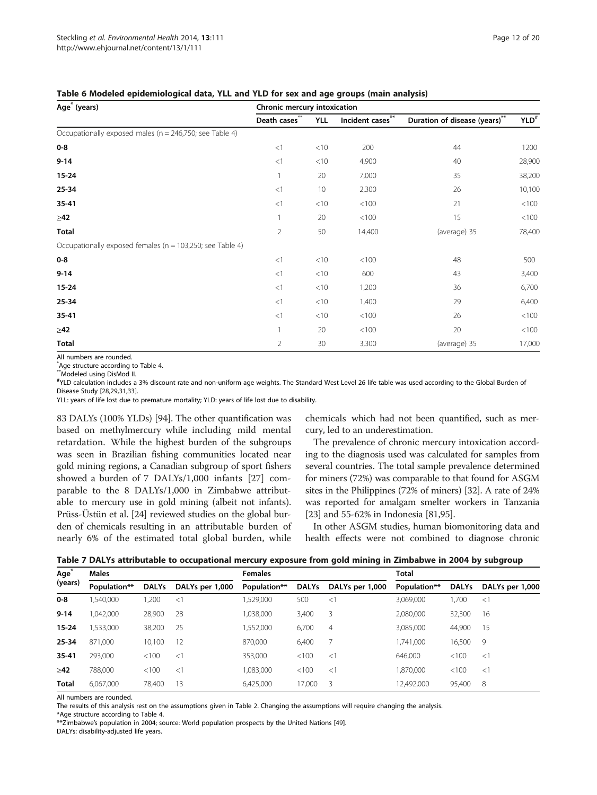| Age <sup>*</sup> (years)                                      | Chronic mercury intoxication |        |                  |                              |         |  |  |  |  |  |
|---------------------------------------------------------------|------------------------------|--------|------------------|------------------------------|---------|--|--|--|--|--|
|                                                               | Death cases                  | YLL    | Incident cases** | Duration of disease (years)" | $YLD^*$ |  |  |  |  |  |
| Occupationally exposed males (n = 246,750; see Table 4)       |                              |        |                  |                              |         |  |  |  |  |  |
| 0-8                                                           | <1                           | $<$ 10 | 200              | 44                           | 1200    |  |  |  |  |  |
| $9 - 14$                                                      | <1                           | $<$ 10 | 4,900            | 40                           | 28,900  |  |  |  |  |  |
| $15 - 24$                                                     | $\mathbf{1}$                 | 20     | 7,000            | 35                           | 38,200  |  |  |  |  |  |
| 25-34                                                         | <1                           | 10     | 2,300            | 26                           | 10,100  |  |  |  |  |  |
| 35-41                                                         | <1                           | $<$ 10 | < 100            | 21                           | < 100   |  |  |  |  |  |
| $\geq$ 42                                                     | $\mathbf{1}$                 | 20     | < 100            | 15                           | < 100   |  |  |  |  |  |
| <b>Total</b>                                                  | $\overline{2}$               | 50     | 14,400           | (average) 35                 | 78,400  |  |  |  |  |  |
| Occupationally exposed females ( $n = 103,250$ ; see Table 4) |                              |        |                  |                              |         |  |  |  |  |  |
| $0-8$                                                         | <1                           | $<$ 10 | < 100            | 48                           | 500     |  |  |  |  |  |
| $9 - 14$                                                      | <1                           | $<$ 10 | 600              | 43                           | 3,400   |  |  |  |  |  |
| $15 - 24$                                                     | <1                           | $<$ 10 | 1,200            | 36                           | 6,700   |  |  |  |  |  |
| 25-34                                                         | <1                           | $<$ 10 | 1,400            | 29                           | 6,400   |  |  |  |  |  |
| 35-41                                                         | <1                           | $<$ 10 | < 100            | 26                           | < 100   |  |  |  |  |  |
| $\geq$ 42                                                     | $\overline{1}$               | 20     | < 100            | 20                           | < 100   |  |  |  |  |  |
| <b>Total</b>                                                  | $\overline{2}$               | 30     | 3,300            | (average) 35                 | 17,000  |  |  |  |  |  |

<span id="page-11-0"></span>Table 6 Modeled epidemiological data, YLL and YLD for sex and age groups (main analysis)

All numbers are rounded.

\*Age structure according to Table 4.

\*\*Modeled using DisMod II.

# YLD calculation includes a 3% discount rate and non-uniform age weights. The Standard West Level 26 life table was used according to the Global Burden of

Disease Study [[28,29](#page-17-0),[31,33\]](#page-17-0).

YLL: years of life lost due to premature mortality; YLD: years of life lost due to disability.

83 DALYs (100% YLDs) [[94](#page-19-0)]. The other quantification was based on methylmercury while including mild mental retardation. While the highest burden of the subgroups was seen in Brazilian fishing communities located near gold mining regions, a Canadian subgroup of sport fishers showed a burden of 7 DALYs/1,000 infants [\[27](#page-17-0)] comparable to the 8 DALYs/1,000 in Zimbabwe attributable to mercury use in gold mining (albeit not infants). Prüss-Üstün et al. [\[24\]](#page-17-0) reviewed studies on the global burden of chemicals resulting in an attributable burden of nearly 6% of the estimated total global burden, while

chemicals which had not been quantified, such as mercury, led to an underestimation.

The prevalence of chronic mercury intoxication according to the diagnosis used was calculated for samples from several countries. The total sample prevalence determined for miners (72%) was comparable to that found for ASGM sites in the Philippines (72% of miners) [\[32](#page-17-0)]. A rate of 24% was reported for amalgam smelter workers in Tanzania [[23](#page-17-0)] and 55-62% in Indonesia [[81](#page-18-0)[,95](#page-19-0)].

In other ASGM studies, human biomonitoring data and health effects were not combined to diagnose chronic

| Table 7 DALYs attributable to occupational mercury exposure from gold mining in Zimbabwe in 2004 by subgroup |  |
|--------------------------------------------------------------------------------------------------------------|--|
|--------------------------------------------------------------------------------------------------------------|--|

| Age <sup>*</sup><br>(years) | <b>Males</b> |              |                 | <b>Females</b> |              |                 | Total        |              |                 |  |
|-----------------------------|--------------|--------------|-----------------|----------------|--------------|-----------------|--------------|--------------|-----------------|--|
|                             | Population** | <b>DALYs</b> | DALYs per 1,000 | Population**   | <b>DALYs</b> | DALYs per 1,000 | Population** | <b>DALYs</b> | DALYs per 1,000 |  |
| $0 - 8$                     | 1.540.000    | 1.200        | $\lt$ 1         | 1,529,000      | 500          | $<$ 1           | 3,069,000    | 1.700        | $\leq$ 1        |  |
| $9 - 14$                    | 1,042,000    | 28,900       | 28              | 1,038,000      | 3,400        | 3               | 2,080,000    | 32,300       | 16              |  |
| $15 - 24$                   | 533,000      | 38,200       | 25              | 1,552,000      | 6,700        | $\overline{4}$  | 3,085,000    | 44,900       | 15              |  |
| $25 - 34$                   | 871,000      | 10,100       | 12              | 870,000        | 6.400        |                 | 1,741,000    | 16,500       | -9              |  |
| $35 - 41$                   | 293,000      | < 100        | $\lt$ 1         | 353,000        | < 100        | <1              | 646,000      | < 100        | $\leq$ 1        |  |
| >42                         | 788,000      | < 100        | <1              | 1,083,000      | < 100        | <1              | 1,870,000    | < 100        | $\leq$ 1        |  |
| Total                       | 6,067,000    | 78,400       | 13              | 6,425,000      | 17,000       | 3               | 12,492,000   | 95,400       | 8               |  |

All numbers are rounded.

The results of this analysis rest on the assumptions given in Table [2.](#page-3-0) Changing the assumptions will require changing the analysis.

\*Age structure according to Table [4](#page-6-0).

\*\*Zimbabwe's population in 2004; source: World population prospects by the United Nations [\[49](#page-17-0)].

DALYs: disability-adjusted life years.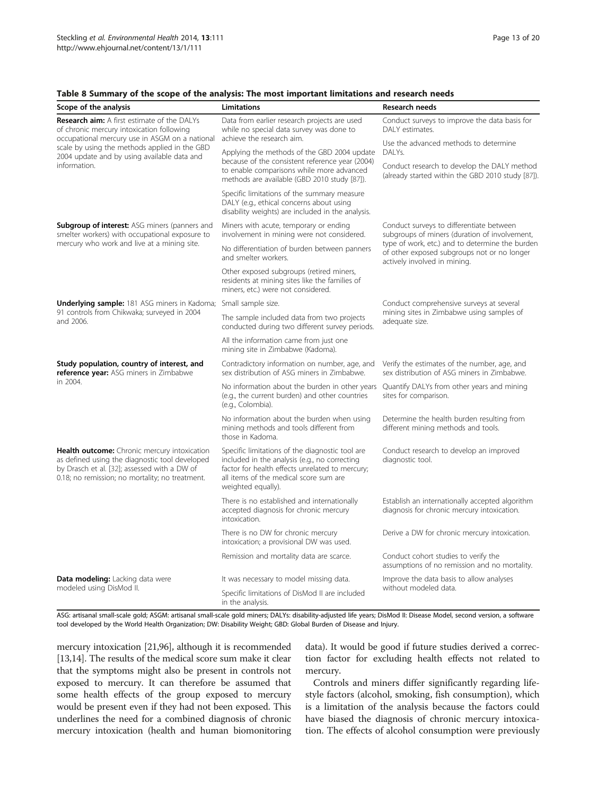<span id="page-12-0"></span>

|  |  |  |  |  |  | Table 8 Summary of the scope of the analysis: The most important limitations and research needs |  |  |  |  |  |  |  |  |  |
|--|--|--|--|--|--|-------------------------------------------------------------------------------------------------|--|--|--|--|--|--|--|--|--|
|--|--|--|--|--|--|-------------------------------------------------------------------------------------------------|--|--|--|--|--|--|--|--|--|

| Scope of the analysis                                                                                                                                                                             | Limitations                                                                                                                                                                                                         | <b>Research needs</b>                                                                                                          |
|---------------------------------------------------------------------------------------------------------------------------------------------------------------------------------------------------|---------------------------------------------------------------------------------------------------------------------------------------------------------------------------------------------------------------------|--------------------------------------------------------------------------------------------------------------------------------|
| <b>Research aim:</b> A first estimate of the DALYs<br>of chronic mercury intoxication following<br>occupational mercury use in ASGM on a national                                                 | Data from earlier research projects are used<br>while no special data survey was done to<br>achieve the research aim.                                                                                               | Conduct surveys to improve the data basis for<br>DALY estimates.                                                               |
| scale by using the methods applied in the GBD                                                                                                                                                     | Applying the methods of the GBD 2004 update                                                                                                                                                                         | Use the advanced methods to determine<br>DALYs.                                                                                |
| 2004 update and by using available data and<br>information.                                                                                                                                       | because of the consistent reference year (2004)<br>to enable comparisons while more advanced<br>methods are available (GBD 2010 study [87]).                                                                        | Conduct research to develop the DALY method<br>(already started within the GBD 2010 study [87]).                               |
|                                                                                                                                                                                                   | Specific limitations of the summary measure<br>DALY (e.g., ethical concerns about using<br>disability weights) are included in the analysis.                                                                        |                                                                                                                                |
| <b>Subgroup of interest:</b> ASG miners (panners and<br>smelter workers) with occupational exposure to                                                                                            | Miners with acute, temporary or ending<br>involvement in mining were not considered.                                                                                                                                | Conduct surveys to differentiate between<br>subgroups of miners (duration of involvement,                                      |
| mercury who work and live at a mining site.                                                                                                                                                       | No differentiation of burden between panners<br>and smelter workers.                                                                                                                                                | type of work, etc.) and to determine the burden<br>of other exposed subgroups not or no longer<br>actively involved in mining. |
|                                                                                                                                                                                                   | Other exposed subgroups (retired miners,<br>residents at mining sites like the families of<br>miners, etc.) were not considered.                                                                                    |                                                                                                                                |
| <b>Underlying sample:</b> 181 ASG miners in Kadoma;                                                                                                                                               | Small sample size.                                                                                                                                                                                                  | Conduct comprehensive surveys at several                                                                                       |
| 91 controls from Chikwaka; surveyed in 2004<br>and 2006.                                                                                                                                          | The sample included data from two projects<br>conducted during two different survey periods.                                                                                                                        | mining sites in Zimbabwe using samples of<br>adequate size.                                                                    |
|                                                                                                                                                                                                   | All the information came from just one<br>mining site in Zimbabwe (Kadoma).                                                                                                                                         |                                                                                                                                |
| Study population, country of interest, and<br>reference year: ASG miners in Zimbabwe                                                                                                              | Contradictory information on number, age, and<br>sex distribution of ASG miners in Zimbabwe.                                                                                                                        | Verify the estimates of the number, age, and<br>sex distribution of ASG miners in Zimbabwe.                                    |
| in 2004.                                                                                                                                                                                          | No information about the burden in other years<br>(e.g., the current burden) and other countries<br>(e.g., Colombia).                                                                                               | Quantify DALYs from other years and mining<br>sites for comparison.                                                            |
|                                                                                                                                                                                                   | No information about the burden when using<br>mining methods and tools different from<br>those in Kadoma.                                                                                                           | Determine the health burden resulting from<br>different mining methods and tools.                                              |
| Health outcome: Chronic mercury intoxication<br>as defined using the diagnostic tool developed<br>by Drasch et al. [32]; assessed with a DW of<br>0.18; no remission; no mortality; no treatment. | Specific limitations of the diagnostic tool are<br>included in the analysis (e.g., no correcting<br>factor for health effects unrelated to mercury;<br>all items of the medical score sum are<br>weighted equally). | Conduct research to develop an improved<br>diagnostic tool.                                                                    |
|                                                                                                                                                                                                   | There is no established and internationally<br>accepted diagnosis for chronic mercury<br>intoxication.                                                                                                              | Establish an internationally accepted algorithm<br>diagnosis for chronic mercury intoxication.                                 |
|                                                                                                                                                                                                   | There is no DW for chronic mercury<br>intoxication; a provisional DW was used.                                                                                                                                      | Derive a DW for chronic mercury intoxication.                                                                                  |
|                                                                                                                                                                                                   | Remission and mortality data are scarce.                                                                                                                                                                            | Conduct cohort studies to verify the<br>assumptions of no remission and no mortality.                                          |
| <b>Data modeling:</b> Lacking data were                                                                                                                                                           | It was necessary to model missing data.                                                                                                                                                                             | Improve the data basis to allow analyses                                                                                       |
| modeled using DisMod II.                                                                                                                                                                          | Specific limitations of DisMod II are included<br>in the analysis.                                                                                                                                                  | without modeled data.                                                                                                          |

ASG: artisanal small-scale gold; ASGM: artisanal small-scale gold miners; DALYs: disability-adjusted life years; DisMod II: Disease Model, second version, a software tool developed by the World Health Organization; DW: Disability Weight; GBD: Global Burden of Disease and Injury.

mercury intoxication [\[21,](#page-17-0)[96](#page-19-0)], although it is recommended [[13,14](#page-17-0)]. The results of the medical score sum make it clear that the symptoms might also be present in controls not exposed to mercury. It can therefore be assumed that some health effects of the group exposed to mercury would be present even if they had not been exposed. This underlines the need for a combined diagnosis of chronic mercury intoxication (health and human biomonitoring data). It would be good if future studies derived a correction factor for excluding health effects not related to mercury.

Controls and miners differ significantly regarding lifestyle factors (alcohol, smoking, fish consumption), which is a limitation of the analysis because the factors could have biased the diagnosis of chronic mercury intoxication. The effects of alcohol consumption were previously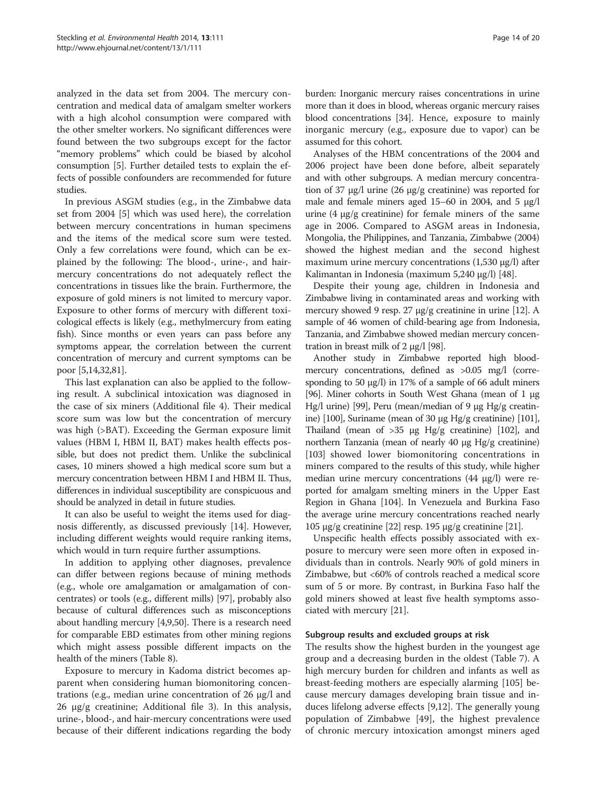analyzed in the data set from 2004. The mercury concentration and medical data of amalgam smelter workers with a high alcohol consumption were compared with the other smelter workers. No significant differences were found between the two subgroups except for the factor "memory problems" which could be biased by alcohol consumption [\[5\]](#page-16-0). Further detailed tests to explain the effects of possible confounders are recommended for future studies.

In previous ASGM studies (e.g., in the Zimbabwe data set from 2004 [[5\]](#page-16-0) which was used here), the correlation between mercury concentrations in human specimens and the items of the medical score sum were tested. Only a few correlations were found, which can be explained by the following: The blood-, urine-, and hairmercury concentrations do not adequately reflect the concentrations in tissues like the brain. Furthermore, the exposure of gold miners is not limited to mercury vapor. Exposure to other forms of mercury with different toxicological effects is likely (e.g., methylmercury from eating fish). Since months or even years can pass before any symptoms appear, the correlation between the current concentration of mercury and current symptoms can be poor [\[5](#page-16-0)[,14,32](#page-17-0)[,81](#page-18-0)].

This last explanation can also be applied to the following result. A subclinical intoxication was diagnosed in the case of six miners (Additional file [4\)](#page-16-0). Their medical score sum was low but the concentration of mercury was high (>BAT). Exceeding the German exposure limit values (HBM I, HBM II, BAT) makes health effects possible, but does not predict them. Unlike the subclinical cases, 10 miners showed a high medical score sum but a mercury concentration between HBM I and HBM II. Thus, differences in individual susceptibility are conspicuous and should be analyzed in detail in future studies.

It can also be useful to weight the items used for diagnosis differently, as discussed previously [\[14](#page-17-0)]. However, including different weights would require ranking items, which would in turn require further assumptions.

In addition to applying other diagnoses, prevalence can differ between regions because of mining methods (e.g., whole ore amalgamation or amalgamation of concentrates) or tools (e.g., different mills) [\[97\]](#page-19-0), probably also because of cultural differences such as misconceptions about handling mercury [\[4,](#page-16-0)[9,50](#page-17-0)]. There is a research need for comparable EBD estimates from other mining regions which might assess possible different impacts on the health of the miners (Table [8](#page-12-0)).

Exposure to mercury in Kadoma district becomes apparent when considering human biomonitoring concentrations (e.g., median urine concentration of 26 μg/l and 26 μg/g creatinine; Additional file [3\)](#page-16-0). In this analysis, urine-, blood-, and hair-mercury concentrations were used because of their different indications regarding the body burden: Inorganic mercury raises concentrations in urine more than it does in blood, whereas organic mercury raises blood concentrations [[34](#page-17-0)]. Hence, exposure to mainly inorganic mercury (e.g., exposure due to vapor) can be assumed for this cohort.

Analyses of the HBM concentrations of the 2004 and 2006 project have been done before, albeit separately and with other subgroups. A median mercury concentration of 37 μg/l urine (26 μg/g creatinine) was reported for male and female miners aged 15–60 in 2004, and 5 μg/l urine  $(4 \mu g/g \text{ creationine})$  for female miners of the same age in 2006. Compared to ASGM areas in Indonesia, Mongolia, the Philippines, and Tanzania, Zimbabwe (2004) showed the highest median and the second highest maximum urine mercury concentrations (1,530 μg/l) after Kalimantan in Indonesia (maximum 5,240 μg/l) [[48](#page-17-0)].

Despite their young age, children in Indonesia and Zimbabwe living in contaminated areas and working with mercury showed 9 resp. 27 μg/g creatinine in urine [\[12\]](#page-17-0). A sample of 46 women of child-bearing age from Indonesia, Tanzania, and Zimbabwe showed median mercury concentration in breast milk of 2 μg/l [\[98\]](#page-19-0).

Another study in Zimbabwe reported high bloodmercury concentrations, defined as >0.05 mg/l (corresponding to 50 μg/l) in 17% of a sample of 66 adult miners [[96](#page-19-0)]. Miner cohorts in South West Ghana (mean of 1 μg Hg/l urine) [\[99](#page-19-0)], Peru (mean/median of 9 μg Hg/g creatinine) [\[100](#page-19-0)], Suriname (mean of 30 μg Hg/g creatinine) [\[101](#page-19-0)], Thailand (mean of >35 μg Hg/g creatinine) [\[102](#page-19-0)], and northern Tanzania (mean of nearly 40 μg Hg/g creatinine) [[103\]](#page-19-0) showed lower biomonitoring concentrations in miners compared to the results of this study, while higher median urine mercury concentrations (44 μg/l) were reported for amalgam smelting miners in the Upper East Region in Ghana [[104](#page-19-0)]. In Venezuela and Burkina Faso the average urine mercury concentrations reached nearly 105 μg/g creatinine [[22](#page-17-0)] resp. 195 μg/g creatinine [\[21\]](#page-17-0).

Unspecific health effects possibly associated with exposure to mercury were seen more often in exposed individuals than in controls. Nearly 90% of gold miners in Zimbabwe, but <60% of controls reached a medical score sum of 5 or more. By contrast, in Burkina Faso half the gold miners showed at least five health symptoms associated with mercury [[21\]](#page-17-0).

#### Subgroup results and excluded groups at risk

The results show the highest burden in the youngest age group and a decreasing burden in the oldest (Table [7](#page-11-0)). A high mercury burden for children and infants as well as breast-feeding mothers are especially alarming [\[105\]](#page-19-0) because mercury damages developing brain tissue and induces lifelong adverse effects [[9,12\]](#page-17-0). The generally young population of Zimbabwe [\[49](#page-17-0)], the highest prevalence of chronic mercury intoxication amongst miners aged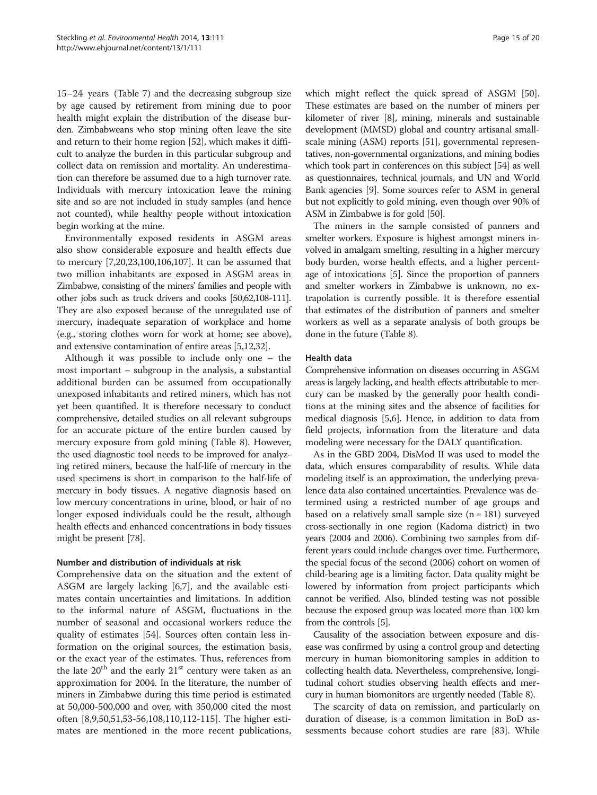15–24 years (Table [7](#page-11-0)) and the decreasing subgroup size by age caused by retirement from mining due to poor health might explain the distribution of the disease burden. Zimbabweans who stop mining often leave the site and return to their home region [[52\]](#page-18-0), which makes it difficult to analyze the burden in this particular subgroup and collect data on remission and mortality. An underestimation can therefore be assumed due to a high turnover rate. Individuals with mercury intoxication leave the mining site and so are not included in study samples (and hence not counted), while healthy people without intoxication begin working at the mine.

Environmentally exposed residents in ASGM areas also show considerable exposure and health effects due to mercury [[7](#page-16-0),[20](#page-17-0),[23](#page-17-0),[100,106,107\]](#page-19-0). It can be assumed that two million inhabitants are exposed in ASGM areas in Zimbabwe, consisting of the miners' families and people with other jobs such as truck drivers and cooks [\[50](#page-17-0)[,62](#page-18-0)[,108](#page-19-0)-[111\]](#page-19-0). They are also exposed because of the unregulated use of mercury, inadequate separation of workplace and home (e.g., storing clothes worn for work at home; see above), and extensive contamination of entire areas [\[5](#page-16-0)[,12,32\]](#page-17-0).

Although it was possible to include only one – the most important – subgroup in the analysis, a substantial additional burden can be assumed from occupationally unexposed inhabitants and retired miners, which has not yet been quantified. It is therefore necessary to conduct comprehensive, detailed studies on all relevant subgroups for an accurate picture of the entire burden caused by mercury exposure from gold mining (Table [8](#page-12-0)). However, the used diagnostic tool needs to be improved for analyzing retired miners, because the half-life of mercury in the used specimens is short in comparison to the half-life of mercury in body tissues. A negative diagnosis based on low mercury concentrations in urine, blood, or hair of no longer exposed individuals could be the result, although health effects and enhanced concentrations in body tissues might be present [[78](#page-18-0)].

# Number and distribution of individuals at risk

Comprehensive data on the situation and the extent of ASGM are largely lacking [[6,7\]](#page-16-0), and the available estimates contain uncertainties and limitations. In addition to the informal nature of ASGM, fluctuations in the number of seasonal and occasional workers reduce the quality of estimates [[54](#page-18-0)]. Sources often contain less information on the original sources, the estimation basis, or the exact year of the estimates. Thus, references from the late  $20^{th}$  and the early  $21^{st}$  century were taken as an approximation for 2004. In the literature, the number of miners in Zimbabwe during this time period is estimated at 50,000-500,000 and over, with 350,000 cited the most often [\[8](#page-16-0),[9](#page-17-0),[50](#page-17-0),[51](#page-17-0),[53](#page-18-0)-[56,](#page-18-0)[108,110](#page-19-0),[112](#page-19-0)-[115\]](#page-19-0). The higher estimates are mentioned in the more recent publications,

which might reflect the quick spread of ASGM [\[50](#page-17-0)]. These estimates are based on the number of miners per kilometer of river [\[8](#page-16-0)], mining, minerals and sustainable development (MMSD) global and country artisanal smallscale mining (ASM) reports [\[51](#page-17-0)], governmental representatives, non-governmental organizations, and mining bodies which took part in conferences on this subject [\[54\]](#page-18-0) as well as questionnaires, technical journals, and UN and World Bank agencies [\[9](#page-17-0)]. Some sources refer to ASM in general but not explicitly to gold mining, even though over 90% of ASM in Zimbabwe is for gold [\[50\]](#page-17-0).

The miners in the sample consisted of panners and smelter workers. Exposure is highest amongst miners involved in amalgam smelting, resulting in a higher mercury body burden, worse health effects, and a higher percentage of intoxications [\[5\]](#page-16-0). Since the proportion of panners and smelter workers in Zimbabwe is unknown, no extrapolation is currently possible. It is therefore essential that estimates of the distribution of panners and smelter workers as well as a separate analysis of both groups be done in the future (Table [8](#page-12-0)).

## Health data

Comprehensive information on diseases occurring in ASGM areas is largely lacking, and health effects attributable to mercury can be masked by the generally poor health conditions at the mining sites and the absence of facilities for medical diagnosis [[5,6\]](#page-16-0). Hence, in addition to data from field projects, information from the literature and data modeling were necessary for the DALY quantification.

As in the GBD 2004, DisMod II was used to model the data, which ensures comparability of results. While data modeling itself is an approximation, the underlying prevalence data also contained uncertainties. Prevalence was determined using a restricted number of age groups and based on a relatively small sample size  $(n = 181)$  surveyed cross-sectionally in one region (Kadoma district) in two years (2004 and 2006). Combining two samples from different years could include changes over time. Furthermore, the special focus of the second (2006) cohort on women of child-bearing age is a limiting factor. Data quality might be lowered by information from project participants which cannot be verified. Also, blinded testing was not possible because the exposed group was located more than 100 km from the controls [[5](#page-16-0)].

Causality of the association between exposure and disease was confirmed by using a control group and detecting mercury in human biomonitoring samples in addition to collecting health data. Nevertheless, comprehensive, longitudinal cohort studies observing health effects and mercury in human biomonitors are urgently needed (Table [8](#page-12-0)).

The scarcity of data on remission, and particularly on duration of disease, is a common limitation in BoD assessments because cohort studies are rare [[83\]](#page-18-0). While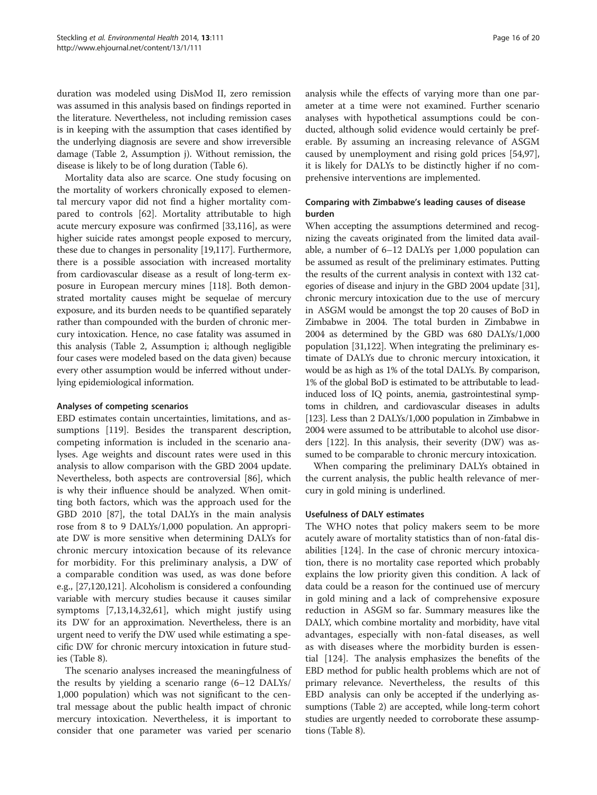duration was modeled using DisMod II, zero remission was assumed in this analysis based on findings reported in the literature. Nevertheless, not including remission cases is in keeping with the assumption that cases identified by the underlying diagnosis are severe and show irreversible damage (Table [2](#page-3-0), Assumption j). Without remission, the disease is likely to be of long duration (Table [6](#page-11-0)).

Mortality data also are scarce. One study focusing on the mortality of workers chronically exposed to elemental mercury vapor did not find a higher mortality compared to controls [\[62](#page-18-0)]. Mortality attributable to high acute mercury exposure was confirmed [[33,](#page-17-0)[116](#page-19-0)], as were higher suicide rates amongst people exposed to mercury, these due to changes in personality [\[19,](#page-17-0)[117](#page-19-0)]. Furthermore, there is a possible association with increased mortality from cardiovascular disease as a result of long-term exposure in European mercury mines [[118](#page-19-0)]. Both demonstrated mortality causes might be sequelae of mercury exposure, and its burden needs to be quantified separately rather than compounded with the burden of chronic mercury intoxication. Hence, no case fatality was assumed in this analysis (Table [2](#page-3-0), Assumption i; although negligible four cases were modeled based on the data given) because every other assumption would be inferred without underlying epidemiological information.

# Analyses of competing scenarios

EBD estimates contain uncertainties, limitations, and assumptions [[119](#page-19-0)]. Besides the transparent description, competing information is included in the scenario analyses. Age weights and discount rates were used in this analysis to allow comparison with the GBD 2004 update. Nevertheless, both aspects are controversial [\[86\]](#page-18-0), which is why their influence should be analyzed. When omitting both factors, which was the approach used for the GBD 2010 [\[87](#page-18-0)], the total DALYs in the main analysis rose from 8 to 9 DALYs/1,000 population. An appropriate DW is more sensitive when determining DALYs for chronic mercury intoxication because of its relevance for morbidity. For this preliminary analysis, a DW of a comparable condition was used, as was done before e.g., [[27](#page-17-0)[,120,121](#page-19-0)]. Alcoholism is considered a confounding variable with mercury studies because it causes similar symptoms [[7,](#page-16-0)[13,14](#page-17-0),[32,](#page-17-0)[61\]](#page-18-0), which might justify using its DW for an approximation. Nevertheless, there is an urgent need to verify the DW used while estimating a specific DW for chronic mercury intoxication in future studies (Table [8](#page-12-0)).

The scenario analyses increased the meaningfulness of the results by yielding a scenario range (6–12 DALYs/ 1,000 population) which was not significant to the central message about the public health impact of chronic mercury intoxication. Nevertheless, it is important to consider that one parameter was varied per scenario

analysis while the effects of varying more than one parameter at a time were not examined. Further scenario analyses with hypothetical assumptions could be conducted, although solid evidence would certainly be preferable. By assuming an increasing relevance of ASGM caused by unemployment and rising gold prices [\[54](#page-18-0)[,97](#page-19-0)], it is likely for DALYs to be distinctly higher if no comprehensive interventions are implemented.

# Comparing with Zimbabwe's leading causes of disease burden

When accepting the assumptions determined and recognizing the caveats originated from the limited data available, a number of 6–12 DALYs per 1,000 population can be assumed as result of the preliminary estimates. Putting the results of the current analysis in context with 132 categories of disease and injury in the GBD 2004 update [[31](#page-17-0)], chronic mercury intoxication due to the use of mercury in ASGM would be amongst the top 20 causes of BoD in Zimbabwe in 2004. The total burden in Zimbabwe in 2004 as determined by the GBD was 680 DALYs/1,000 population [\[31,](#page-17-0)[122](#page-19-0)]. When integrating the preliminary estimate of DALYs due to chronic mercury intoxication, it would be as high as 1% of the total DALYs. By comparison, 1% of the global BoD is estimated to be attributable to leadinduced loss of IQ points, anemia, gastrointestinal symptoms in children, and cardiovascular diseases in adults [[123\]](#page-19-0). Less than 2 DALYs/1,000 population in Zimbabwe in 2004 were assumed to be attributable to alcohol use disorders [\[122](#page-19-0)]. In this analysis, their severity (DW) was assumed to be comparable to chronic mercury intoxication.

When comparing the preliminary DALYs obtained in the current analysis, the public health relevance of mercury in gold mining is underlined.

# Usefulness of DALY estimates

The WHO notes that policy makers seem to be more acutely aware of mortality statistics than of non-fatal disabilities [[124\]](#page-19-0). In the case of chronic mercury intoxication, there is no mortality case reported which probably explains the low priority given this condition. A lack of data could be a reason for the continued use of mercury in gold mining and a lack of comprehensive exposure reduction in ASGM so far. Summary measures like the DALY, which combine mortality and morbidity, have vital advantages, especially with non-fatal diseases, as well as with diseases where the morbidity burden is essential [[124](#page-19-0)]. The analysis emphasizes the benefits of the EBD method for public health problems which are not of primary relevance. Nevertheless, the results of this EBD analysis can only be accepted if the underlying assumptions (Table [2\)](#page-3-0) are accepted, while long-term cohort studies are urgently needed to corroborate these assumptions (Table [8](#page-12-0)).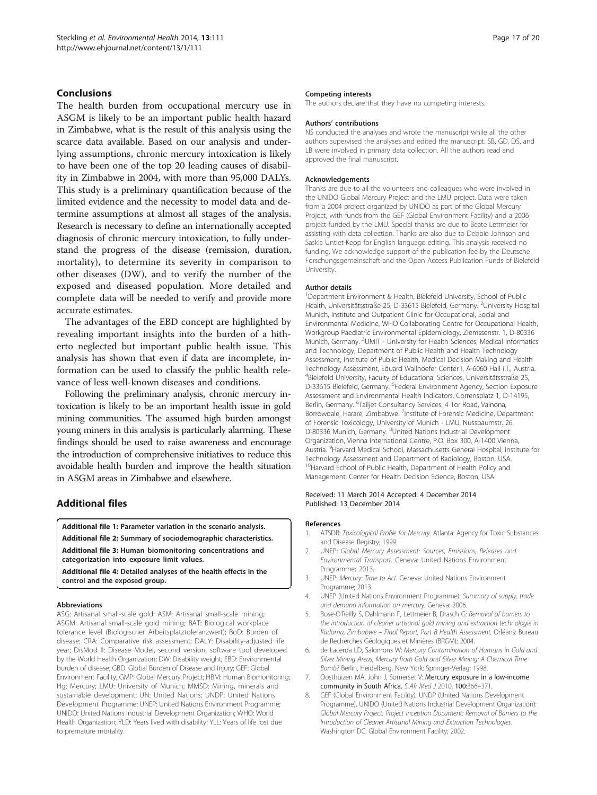## <span id="page-16-0"></span>Conclusions

The health burden from occupational mercury use in ASGM is likely to be an important public health hazard in Zimbabwe, what is the result of this analysis using the scarce data available. Based on our analysis and underlying assumptions, chronic mercury intoxication is likely to have been one of the top 20 leading causes of disability in Zimbabwe in 2004, with more than 95,000 DALYs. This study is a preliminary quantification because of the limited evidence and the necessity to model data and determine assumptions at almost all stages of the analysis. Research is necessary to define an internationally accepted diagnosis of chronic mercury intoxication, to fully understand the progress of the disease (remission, duration, mortality), to determine its severity in comparison to other diseases (DW), and to verify the number of the exposed and diseased population. More detailed and complete data will be needed to verify and provide more accurate estimates.

The advantages of the EBD concept are highlighted by revealing important insights into the burden of a hitherto neglected but important public health issue. This analysis has shown that even if data are incomplete, information can be used to classify the public health relevance of less well-known diseases and conditions.

Following the preliminary analysis, chronic mercury intoxication is likely to be an important health issue in gold mining communities. The assumed high burden amongst young miners in this analysis is particularly alarming. These findings should be used to raise awareness and encourage the introduction of comprehensive initiatives to reduce this avoidable health burden and improve the health situation in ASGM areas in Zimbabwe and elsewhere.

# Additional files

[Additional file 1:](http://www.biomedcentral.com/content/supplementary/1476-069X-13-111-S1.pdf) Parameter variation in the scenario analysis.

[Additional file 2:](http://www.biomedcentral.com/content/supplementary/1476-069X-13-111-S2.pdf) Summary of sociodemographic characteristics.

[Additional file 3:](http://www.biomedcentral.com/content/supplementary/1476-069X-13-111-S3.pdf) Human biomonitoring concentrations and categorization into exposure limit values.

[Additional file 4:](http://www.biomedcentral.com/content/supplementary/1476-069X-13-111-S4.pdf) Detailed analyses of the health effects in the control and the exposed group.

#### Abbreviations

ASG: Artisanal small-scale gold; ASM: Artisanal small-scale mining; ASGM: Artisanal small-scale gold mining; BAT: Biological workplace tolerance level (Biologischer Arbeitsplatztoleranzwert); BoD: Burden of disease; CRA: Comparative risk assessment; DALY: Disability-adjusted life year; DisMod II: Disease Model, second version, software tool developed by the World Health Organization; DW: Disability weight; EBD: Environmental burden of disease; GBD: Global Burden of Disease and Injury; GEF: Global Environment Facility; GMP: Global Mercury Project; HBM: Human Biomonitoring; Hg: Mercury; LMU: University of Munich; MMSD: Mining, minerals and sustainable development; UN: United Nations; UNDP: United Nations Development Programme; UNEP: United Nations Environment Programme; UNIDO: United Nations Industrial Development Organization; WHO: World Health Organization; YLD: Years lived with disability; YLL: Years of life lost due to premature mortality.

#### Competing interests

The authors declare that they have no competing interests.

#### Authors' contributions

NS conducted the analyses and wrote the manuscript while all the other authors supervised the analyses and edited the manuscript. SB, GD, DS, and LB were involved in primary data collection. All the authors read and approved the final manuscript.

#### Acknowledgements

Thanks are due to all the volunteers and colleagues who were involved in the UNIDO Global Mercury Project and the LMU project. Data were taken from a 2004 project organized by UNIDO as part of the Global Mercury Project, with funds from the GEF (Global Environment Facility) and a 2006 project funded by the LMU. Special thanks are due to Beate Lettmeier for assisting with data collection. Thanks are also due to Debbie Johnson and Saskia Untiet-Kepp for English language editing. This analysis received no funding. We acknowledge support of the publication fee by the Deutsche Forschungsgemeinschaft and the Open Access Publication Funds of Bielefeld University.

#### Author details

<sup>1</sup>Department Environment & Health, Bielefeld University, School of Public Health, Universitätsstraße 25, D-33615 Bielefeld, Germany. <sup>2</sup>University Hospital Munich, Institute and Outpatient Clinic for Occupational, Social and Environmental Medicine, WHO Collaborating Centre for Occupational Health, Workgroup Paediatric Environmental Epidemiology, Ziemssenstr. 1, D-80336 Munich, Germany. <sup>3</sup>UMIT - University for Health Sciences, Medical Informatics and Technology, Department of Public Health and Health Technology Assessment, Institute of Public Health, Medical Decision Making and Health Technology Assessment, Eduard Wallnoefer Center I, A-6060 Hall i.T., Austria. 4 Bielefeld University, Faculty of Educational Sciences, Universitätsstraße 25, D-33615 Bielefeld, Germany. <sup>5</sup>Federal Environment Agency, Section Exposure Assessment and Environmental Health Indicators, Corrensplatz 1, D-14195, Berlin, Germany. <sup>6</sup>Tailjet Consultancy Services, 4 Tor Road, Vainona Borrowdale, Harare, Zimbabwe. <sup>7</sup>Institute of Forensic Medicine, Department of Forensic Toxicology, University of Munich - LMU, Nussbaumstr. 26, D-80336 Munich, Germany. <sup>8</sup>United Nations Industrial Development Organization, Vienna International Centre, P.O. Box 300, A-1400 Vienna, Austria. <sup>9</sup> Harvard Medical School, Massachusetts General Hospital, Institute for Technology Assessment and Department of Radiology, Boston, USA. <sup>10</sup>Harvard School of Public Health, Department of Health Policy and Management, Center for Health Decision Science, Boston, USA.

#### Received: 11 March 2014 Accepted: 4 December 2014 Published: 13 December 2014

#### References

- 1. ATSDR: Toxicological Profile for Mercury. Atlanta: Agency for Toxic Substances and Disease Registry; 1999.
- 2. UNEP: Global Mercury Assessment: Sources, Emissions, Releases and Environmental Transport. Geneva: United Nations Environment Programme; 2013.
- 3. UNEP: Mercury: Time to Act. Geneva: United Nations Environment Programme; 2013.
- 4. UNEP (United Nations Environment Programme): Summary of supply, trade and demand information on mercury. Geneva: 2006.
- 5. Bose-O'Reilly S, Dahlmann F, Lettmeier B, Drasch G: Removal of barriers to the introduction of cleaner artisanal gold mining and extraction technologie in Kadoma, Zimbabwe – Final Report, Part B Health Assessment. Orléans: Bureau de Recherches Géologiques et Minières (BRGM); 2004.
- 6. de Lacerda LD, Salomons W: Mercury Contamination of Humans in Gold and Silver Mining Areas, Mercury from Gold and Silver Mining: A Chemical Time Bomb? Berlin, Heidelberg, New York: Springer-Verlag; 1998.
- 7. Oosthuizen MA, John J, Somerset V: Mercury exposure in a low-income community in South Africa. S Afr Med J 2010, 100:366–371.
- 8. GEF (Global Environment Facility), UNDP (United Nations Development Programme), UNIDO (United Nations Industrial Development Organization): Global Mercury Project: Project Inception Document: Removal of Barriers to the Introduction of Cleaner Artisanal Mining and Extraction Technologies. Washington DC: Global Environment Facility; 2002.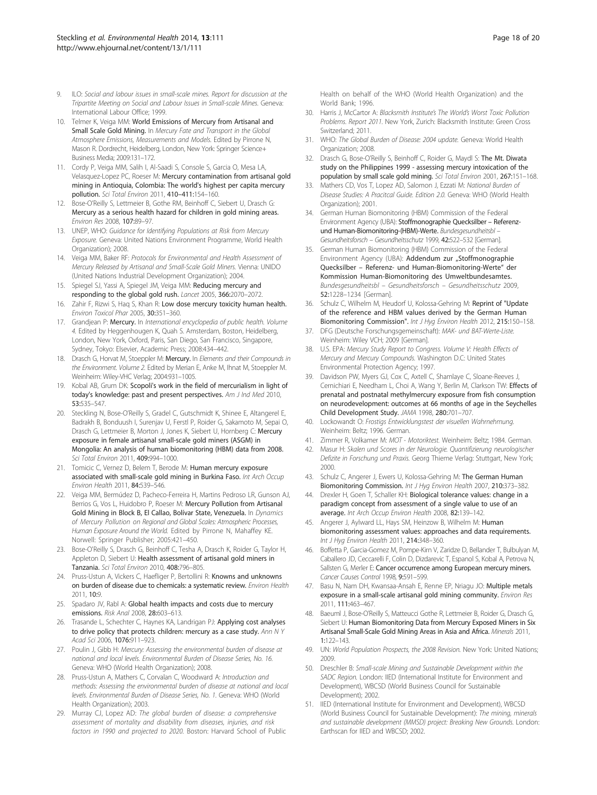- <span id="page-17-0"></span>9. ILO: Social and labour issues in small-scale mines. Report for discussion at the Tripartite Meeting on Social and Labour Issues in Small-scale Mines. Geneva: International Labour Office; 1999.
- 10. Telmer K, Veiga MM: World Emissions of Mercury from Artisanal and Small Scale Gold Mining. In Mercury Fate and Transport in the Global Atmosphere Emissions, Measurements and Models. Edited by Pirrone N, Mason R. Dordrecht, Heidelberg, London, New York: Springer Science+ Business Media; 2009:131–172.
- 11. Cordy P, Veiga MM, Salih I, Al-Saadi S, Console S, Garcia O, Mesa LA, Velasquez-Lopez PC, Roeser M: Mercury contamination from artisanal gold mining in Antioquia, Colombia: The world's highest per capita mercury pollution. Sci Total Environ 2011, 410–411:154–160.
- 12. Bose-O'Reilly S, Lettmeier B, Gothe RM, Beinhoff C, Siebert U, Drasch G: Mercury as a serious health hazard for children in gold mining areas. Environ Res 2008, 107:89–97.
- 13. UNEP, WHO: Guidance for Identifying Populations at Risk from Mercury Exposure. Geneva: United Nations Environment Programme, World Health Organization); 2008.
- 14. Veiga MM, Baker RF: Protocols for Environmental and Health Assessment of Mercury Released by Artisanal and Small-Scale Gold Miners. Vienna: UNIDO (United Nations Industrial Development Organization); 2004.
- 15. Spiegel SJ, Yassi A, Spiegel JM, Veiga MM: Reducing mercury and responding to the global gold rush. Lancet 2005, 366:2070–2072.
- 16. Zahir F, Rizwi S, Haq S, Khan R: Low dose mercury toxicity human health. Environ Toxicol Phar 2005, 30:351–360.
- 17. Grandjean P: Mercury. In International encyclopedia of public health. Volume 4. Edited by Heggenhougen K, Quah S. Amsterdam, Boston, Heidelberg, London, New York, Oxford, Paris, San Diego, San Francisco, Singapore, Sydney, Tokyo: Elsevier, Academic Press; 2008:434–442.
- 18. Drasch G, Horvat M, Stoeppler M: Mercury. In Elements and their Compounds in the Environment. Volume 2. Edited by Merian E, Anke M, Ihnat M, Stoeppler M. Weinheim: Wiley-VHC Verlag; 2004:931–1005.
- 19. Kobal AB, Grum DK: Scopoli's work in the field of mercurialism in light of today's knowledge: past and present perspectives. Am J Ind Med 2010, 53:535–547.
- 20. Steckling N, Bose-O'Reilly S, Gradel C, Gutschmidt K, Shinee E, Altangerel E, Badrakh B, Bonduush I, Surenjav U, Ferstl P, Roider G, Sakamoto M, Sepai O, Drasch G, Lettmeier B, Morton J, Jones K, Siebert U, Hornberg C: Mercury exposure in female artisanal small-scale gold miners (ASGM) in Mongolia: An analysis of human biomonitoring (HBM) data from 2008. Sci Total Environ 2011, 409:994–1000.
- 21. Tomicic C, Vernez D, Belem T, Berode M: Human mercury exposure associated with small-scale gold mining in Burkina Faso. Int Arch Occup Environ Health 2011, 84:539–546.
- 22. Veiga MM, Bermúdez D, Pacheco-Ferreira H, Martins Pedroso LR, Gunson AJ, Berrios G, Vos L, Huidobro P, Roeser M: Mercury Pollution from Artisanal Gold Mining in Block B, El Callao, Bolívar State, Venezuela. In Dynamics of Mercury Pollution on Regional and Global Scales: Atmospheric Processes, Human Exposure Around the World. Edited by Pirrone N, Mahaffey KE. Norwell: Springer Publisher; 2005:421–450.
- 23. Bose-O'Reilly S, Drasch G, Beinhoff C, Tesha A, Drasch K, Roider G, Taylor H, Appleton D, Siebert U: Health assessment of artisanal gold miners in Tanzania. Sci Total Environ 2010, 408:796–805.
- 24. Pruss-Ustun A, Vickers C, Haefliger P, Bertollini R: Knowns and unknowns on burden of disease due to chemicals: a systematic review. Environ Health 2011, 10:9.
- 25. Spadaro JV, Rabl A: Global health impacts and costs due to mercury emissions. Risk Anal 2008, 28:603–613.
- 26. Trasande L, Schechter C, Haynes KA, Landrigan PJ: Applying cost analyses to drive policy that protects children: mercury as a case study. Ann N Y Acad Sci 2006, 1076:911–923.
- 27. Poulin J, Gibb H: Mercury: Assessing the environmental burden of disease at national and local levels. Environmental Burden of Disease Series, No. 16. Geneva: WHO (World Health Organization); 2008.
- 28. Pruss-Ustun A, Mathers C, Corvalan C, Woodward A: Introduction and methods: Assessing the environmental burden of disease at national and local levels. Environmental Burden of Disease Series, No. 1. Geneva: WHO (World Health Organization); 2003.
- 29. Murray CJ, Lopez AD: The global burden of disease: a comprehensive assessment of mortality and disability from diseases, injuries, and risk factors in 1990 and projected to 2020. Boston: Harvard School of Public

Health on behalf of the WHO (World Health Organization) and the World Bank; 1996.

- 30. Harris J, McCartor A: Blacksmith Institute's The World's Worst Toxic Pollution Problems. Report 2011. New York, Zurich: Blacksmith Institute: Green Cross Switzerland; 2011.
- 31. WHO: The Global Burden of Disease: 2004 update. Geneva: World Health Organization; 2008.
- 32. Drasch G, Bose-O'Reilly S, Beinhoff C, Roider G, Maydl S: The Mt. Diwata study on the Philippines 1999 - assessing mercury intoxication of the population by small scale gold mining. Sci Total Environ 2001, 267:151–168.
- 33. Mathers CD, Vos T, Lopez AD, Salomon J, Ezzati M: National Burden of Disease Studies: A Pracitcal Guide. Edition 2.0. Geneva: WHO (World Health Organization); 2001.
- 34. German Human Biomonitoring (HBM) Commission of the Federal Environment Agency (UBA): Stoffmonographie Quecksilber – Referenzund Human-Biomonitoring-(HBM)-Werte. Bundesgesundheitsbl – Gesundheitsforsch – Gesundheitsschutz 1999, 42:522–532 [German].
- 35. German Human Biomonitoring (HBM) Commission of the Federal Environment Agency (UBA): Addendum zur "Stoffmonographie Quecksilber – Referenz- und Human-Biomonitoring-Werte" der Kommission Human-Biomonitoring des Umweltbundesamtes. Bundesgesundheitsbl – Gesundheitsforsch – Gesundheitsschutz 2009, 52:1228–1234 [German].
- 36. Schulz C, Wilhelm M, Heudorf U, Kolossa-Gehring M: Reprint of "Update of the reference and HBM values derived by the German Human Biomonitoring Commission". Int J Hyg Environ Health 2012, 215:150–158.
- 37. DFG (Deutsche Forschungsgemeinschaft): MAK- und BAT-Werte-Liste. Weinheim: Wiley VCH; 2009 [German].
- U.S. EPA: Mercury Study Report to Congress. Volume V: Health Effects of Mercury and Mercury Compounds. Washington D.C: United States Environmental Protection Agency; 1997.
- 39. Davidson PW, Myers GJ, Cox C, Axtell C, Shamlaye C, Sloane-Reeves J, Cernichiari E, Needham L, Choi A, Wang Y, Berlin M, Clarkson TW: Effects of prenatal and postnatal methylmercury exposure from fish consumption on neurodevelopment: outcomes at 66 months of age in the Seychelles Child Development Study. JAMA 1998, 280:701–707.
- 40. Lockowandt O: Frostigs Entwicklungstest der visuellen Wahrnehmung. Weinheim: Beltz; 1996. German.
- 41. Zimmer R, Volkamer M: MOT Motoriktest. Weinheim: Beltz; 1984. German.
- 42. Masur H: Skalen und Scores in der Neurologie. Quantifizierung neurologischer Defizite in Forschung und Praxis. Georg Thieme Verlag: Stuttgart, New York; 2000.
- 43. Schulz C, Angerer J, Ewers U, Kolossa-Gehring M: The German Human Biomonitoring Commission. Int J Hyg Environ Health 2007, 210:373-382.
- 44. Drexler H, Goen T, Schaller KH: Biological tolerance values: change in a paradigm concept from assessment of a single value to use of an average. Int Arch Occup Environ Health 2008, 82:139–142.
- 45. Angerer J, Aylward LL, Hays SM, Heinzow B, Wilhelm M: Human biomonitoring assessment values: approaches and data requirements. Int J Hyg Environ Health 2011, 214:348–360.
- 46. Boffetta P, Garcia-Gomez M, Pompe-Kirn V, Zaridze D, Bellander T, Bulbulyan M, Caballero JD, Ceccarelli F, Colin D, Dizdarevic T, Espanol S, Kobal A, Petrova N, Sallsten G, Merler E: Cancer occurrence among European mercury miners. Cancer Causes Control 1998, 9:591–599.
- 47. Basu N, Nam DH, Kwansaa-Ansah E, Renne EP, Nriagu JO: Multiple metals exposure in a small-scale artisanal gold mining community. Environ Res 2011, 111:463–467.
- 48. Baeuml J, Bose-O'Reilly S, Matteucci Gothe R, Lettmeier B, Roider G, Drasch G, Siebert U: Human Biomonitoring Data from Mercury Exposed Miners in Six Artisanal Small-Scale Gold Mining Areas in Asia and Africa. Minerals 2011, 1:122–143.
- 49. UN: World Population Prospects, the 2008 Revision. New York: United Nations; 2009.
- 50. Dreschler B: Small-scale Mining and Sustainable Development within the SADC Region. London: IIED (International Institute for Environment and Development), WBCSD (World Business Council for Sustainable Development); 2002.
- 51. IIED (International Institute for Environment and Development), WBCSD (World Business Council for Sustainable Development): The mining, minerals and sustainable development (MMSD) project: Breaking New Grounds. London: Earthscan for IIED and WBCSD; 2002.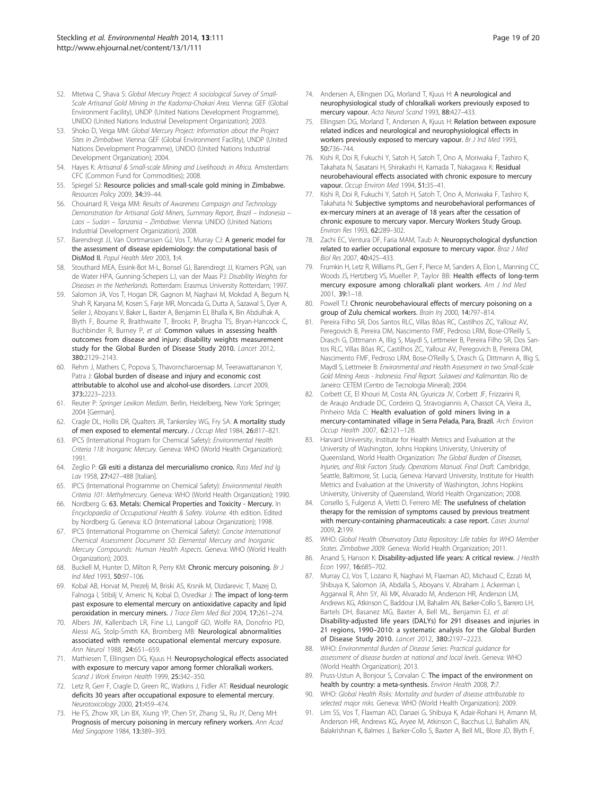- <span id="page-18-0"></span>52. Mtetwa C, Shava S: Global Mercury Project: A sociological Survey of Small-Scale Artisanal Gold Mining in the Kadoma-Chakari Area. Vienna: GEF (Global Environment Facility), UNDP (United Nations Development Programme), UNIDO (United Nations Industrial Development Organization); 2003.
- 53. Shoko D, Veiga MM: Global Mercury Project: Information about the Project Sites in Zimbabwe. Vienna: GEF (Global Environment Facility), UNDP (United Nations Development Programme), UNIDO (United Nations Industrial Development Organization); 2004.
- 54. Hayes K: Artisanal & Small-scale Mining and Livelihoods in Africa. Amsterdam: CFC (Common Fund for Commodities); 2008.
- 55. Spiegel SJ: Resource policies and small-scale gold mining in Zimbabwe. Resources Policy 2009, 34:39–44.
- 56. Chouinard R, Veiga MM: Results of Awareness Campaign and Technology Demonstration for Artisanal Gold Miners, Summary Report, Brazil – Indonesia – Laos – Sudan – Tanzania – Zimbabwe. Vienna: UNIDO (United Nations Industrial Development Organization); 2008.
- 57. Barendregt JJ, Van Oortmarssen GJ, Vos T, Murray CJ: A generic model for the assessment of disease epidemiology: the computational basis of DisMod II. Popul Health Metr 2003, 1:4.
- 58. Stouthard MEA, Essink-Bot M-L, Bonsel GJ, Barendregt JJ, Kramers PGN, van de Water HPA, Gunning-Schepers LJ, van der Maas PJ: Disability Weights for Diseases in the Netherlands. Rotterdam: Erasmus University Rotterdam; 1997.
- 59. Salomon JA, Vos T, Hogan DR, Gagnon M, Naghavi M, Mokdad A, Begum N, Shah R, Karyana M, Kosen S, Farje MR, Moncada G, Dutta A, Sazawal S, Dyer A, Seiler J, Aboyans V, Baker L, Baxter A, Benjamin EJ, Bhalla K, Bin Abdulhak A, Blyth F, Bourne R, Braithwaite T, Brooks P, Brugha TS, Bryan-Hancock C, Buchbinder R, Burney P, et al: Common values in assessing health outcomes from disease and injury: disability weights measurement study for the Global Burden of Disease Study 2010. Lancet 2012, 380:2129–2143.
- 60. Rehm J, Mathers C, Popova S, Thavorncharoensap M, Teerawattananon Y, Patra J: Global burden of disease and injury and economic cost attributable to alcohol use and alcohol-use disorders. Lancet 2009, 373:2223–2233.
- 61. Reuter P: Springer Lexikon Medizin. Berlin, Heidelberg, New York: Springer; 2004 [German].
- 62. Cragle DL, Hollis DR, Qualters JR, Tankersley WG, Fry SA: A mortality study of men exposed to elemental mercury. J Occup Med 1984, 26:817–821.
- 63. IPCS (International Program for Chemical Safety): Environmental Health Criteria 118: Inorganic Mercury. Geneva: WHO (World Health Organization); 1991.
- 64. Zeglio P: Gli esiti a distanza del mercurialismo cronico. Rass Med Ind Ig Lav 1958, 27:427-488 [Italian].
- 65. IPCS (International Programme on Chemical Safety): Environmental Health Criteria 101: Methylmercury. Geneva: WHO (World Health Organization); 1990.
- 66. Nordberg G: 63. Metals: Chemical Properties and Toxicity Mercury. In Encyclopaedia of Occupational Health & Safety. Volume. 4th edition. Edited by Nordberg G. Geneva: ILO (International Labour Organization); 1998.
- 67. IPCS (International Programme on Chemical Safety): Concise International Chemical Assessment Document 50: Elemental Mercury and Inorganic Mercury Compounds: Human Health Aspects. Geneva: WHO (World Health Organization); 2003.
- 68. Buckell M, Hunter D, Milton R, Perry KM: Chronic mercury poisoning. Br J Ind Med 1993, 50:97–106.
- 69. Kobal AB, Horvat M, Prezelj M, Briski AS, Krsnik M, Dizdarevic T, Mazej D, Falnoga I, Stibilj V, Arneric N, Kobal D, Osredkar J: The impact of long-term past exposure to elemental mercury on antioxidative capacity and lipid peroxidation in mercury miners. J Trace Elem Med Biol 2004, 17:261–274.
- 70. Albers JW, Kallenbach LR, Fine LJ, Langolf GD, Wolfe RA, Donofrio PD, Alessi AG, Stolp-Smith KA, Bromberg MB: Neurological abnormalities associated with remote occupational elemental mercury exposure. Ann Neurol 1988, 24:651–659.
- 71. Mathiesen T, Ellingsen DG, Kjuus H: Neuropsychological effects associated with exposure to mercury vapor among former chloralkali workers. Scand J Work Environ Health 1999, 25:342-350.
- 72. Letz R, Gerr F, Cragle D, Green RC, Watkins J, Fidler AT: Residual neurologic deficits 30 years after occupational exposure to elemental mercury. Neurotoxicology 2000, 21:459–474.
- 73. He FS, Zhow XR, Lin BX, Xiung YP, Chen SY, Zhang SL, Ru JY, Deng MH: Prognosis of mercury poisoning in mercury refinery workers. Ann Acad Med Singapore 1984, 13:389–393.
- 74. Andersen A, Ellingsen DG, Morland T, Kjuus H: A neurological and neurophysiological study of chloralkali workers previously exposed to mercury vapour. Acta Neurol Scand 1993, 88:427–433.
- 75. Ellingsen DG, Morland T, Andersen A, Kjuus H: Relation between exposure related indices and neurological and neurophysiological effects in workers previously exposed to mercury vapour. Br J Ind Med 1993, 50:736–744.
- 76. Kishi R, Doi R, Fukuchi Y, Satoh H, Satoh T, Ono A, Moriwaka F, Tashiro K, Takahata N, Sasatani H, Shirakashi H, Kamada T, Nakagawa K: Residual neurobehavioural effects associated with chronic exposure to mercury vapour. Occup Environ Med 1994, 51:35-41.
- 77. Kishi R, Doi R, Fukuchi Y, Satoh H, Satoh T, Ono A, Moriwaka F, Tashiro K, Takahata N: Subjective symptoms and neurobehavioral performances of ex-mercury miners at an average of 18 years after the cessation of chronic exposure to mercury vapor. Mercury Workers Study Group. Environ Res 1993, 62:289–302.
- 78. Zachi EC, Ventura DF, Faria MAM, Taub A: Neuropsychological dysfunction related to earlier occupational exposure to mercury vapor. Braz J Med Biol Res 2007, 40:425–433.
- 79. Frumkin H, Letz R, Williams PL, Gerr F, Pierce M, Sanders A, Elon L, Manning CC, Woods JS, Hertzberg VS, Mueller P, Taylor BB: Health effects of long-term mercury exposure among chloralkali plant workers. Am J Ind Med 2001, 39:1–18.
- 80. Powell TJ: Chronic neurobehavioural effects of mercury poisoning on a group of Zulu chemical workers. Brain Inj 2000, 14:797–814.
- 81. Pereira Filho SR, Dos Santos RLC, Villas Bôas RC, Castilhos ZC, Yallouz AV, Peregovich B, Pereira DM, Nascimento FMF, Pedroso LRM, Bose-O'Reilly S, Drasch G, Dittmann A, Illig S, Maydl S, Lettmeier B, Pereira Filho SR, Dos Santos RLC, Villas Bôas RC, Castilhos ZC, Yallouz AV, Peregovich B, Pereira DM, Nascimento FMF, Pedroso LRM, Bose-O'Reilly S, Drasch G, Dittmann A, Illig S, Maydl S, Lettmeier B: Environmental and Health Assessment in two Small-Scale Gold Mining Areas - Indonesia. Final Report. Sulawesi and Kalimantan. Rio de Janeiro: CETEM (Centro de Tecnologia Mineral); 2004.
- 82. Corbett CE, El Khouri M, Costa AN, Gyuricza JV, Corbett JF, Frizzarini R, de Araujo Andrade DC, Cordeiro Q, Stravogiannis A, Chassot CA, Vieira JL, Pinheiro Mda C: Health evaluation of gold miners living in a mercury-contaminated village in Serra Pelada, Para, Brazil. Arch Environ Occup Health 2007, 62:121–128.
- 83. Harvard University, Institute for Health Metrics and Evaluation at the University of Washington, Johns Hopkins University, University of Queensland, World Health Organization: The Global Burden of Diseases, Injuries, and Risk Factors Study. Operations Manual. Final Draft. Cambridge, Seattle, Baltimore, St. Lucia, Geneva: Harvard University, Institute for Health Metrics and Evaluation at the University of Washington, Johns Hopkins University, University of Queensland, World Health Organization; 2008.
- 84. Corsello S, Fulgenzi A, Vietti D, Ferrero ME: The usefulness of chelation therapy for the remission of symptoms caused by previous treatment with mercury-containing pharmaceuticals: a case report. Cases Journal 2009, 2:199.
- 85. WHO: Global Health Observatory Data Repository: Life tables for WHO Member States. Zimbabwe 2009. Geneva: World Health Organization; 2011.
- 86. Anand S, Hanson K: Disability-adjusted life years: A critical review. J Health Econ 1997, 16:685–702.
- 87. Murray CJ, Vos T, Lozano R, Naghavi M, Flaxman AD, Michaud C, Ezzati M, Shibuya K, Salomon JA, Abdalla S, Aboyans V, Abraham J, Ackerman I, Aggarwal R, Ahn SY, Ali MK, Alvarado M, Anderson HR, Anderson LM, Andrews KG, Atkinson C, Baddour LM, Bahalim AN, Barker-Collo S, Barrero LH, Bartels DH, Basanez MG, Baxter A, Bell ML, Benjamin EJ, et al: Disability-adjusted life years (DALYs) for 291 diseases and injuries in 21 regions, 1990–2010: a systematic analysis for the Global Burden of Disease Study 2010. Lancet 2012, 380:2197–2223.
- 88. WHO: Environmental Burden of Disease Series: Practical guidance for assessment of disease burden at national and local levels. Geneva: WHO (World Health Organization); 2013.
- 89. Pruss-Ustun A, Bonjour S, Corvalan C: The impact of the environment on health by country: a meta-synthesis. Environ Health 2008, 7:7
- 90. WHO: Global Health Risks: Mortality and burden of disease attributable to selected major risks. Geneva: WHO (World Health Organization); 2009.
- 91. Lim SS, Vos T, Flaxman AD, Danaei G, Shibuya K, Adair-Rohani H, Amann M, Anderson HR, Andrews KG, Aryee M, Atkinson C, Bacchus LJ, Bahalim AN, Balakrishnan K, Balmes J, Barker-Collo S, Baxter A, Bell ML, Blore JD, Blyth F,